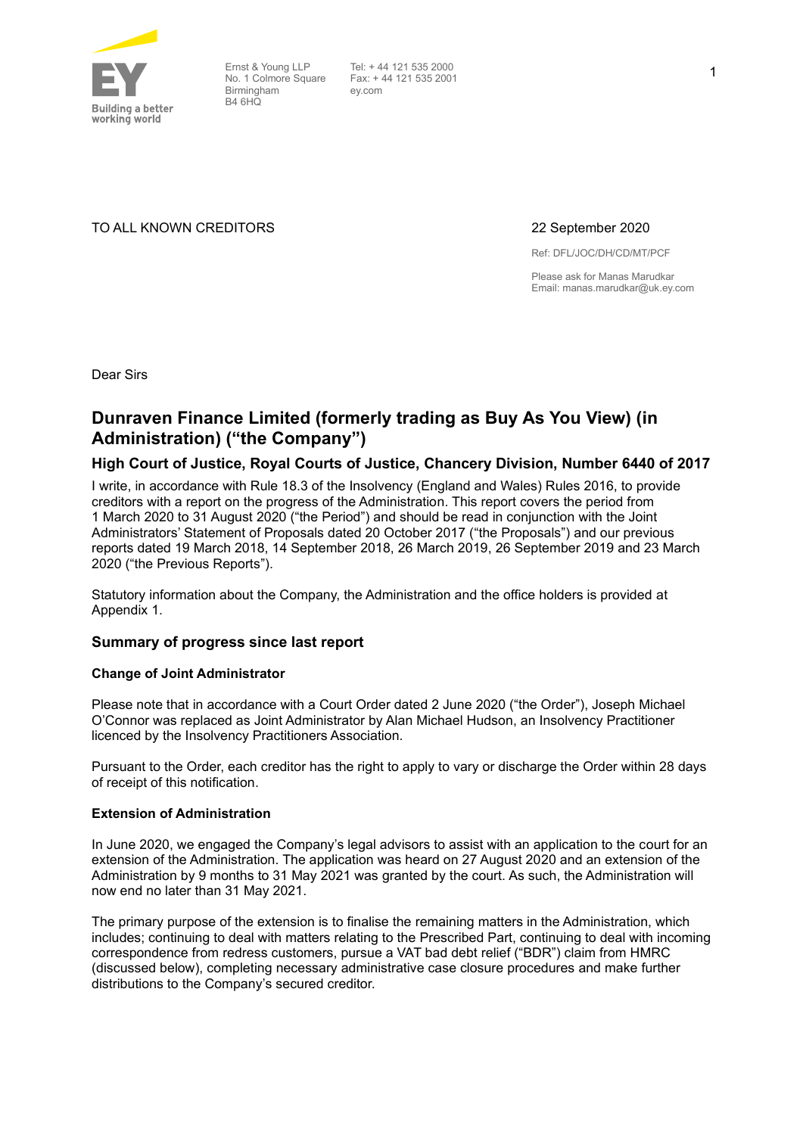

Ernst & Young LLP No. 1 Colmore Square Birmingham B4 6HQ

Tel: + 44 121 535 2000 Fax: + 44 121 535 2001 ey.com

TO ALL KNOWN CREDITORS 22 September 2020

Ref: DFL/JOC/DH/CD/MT/PCF

Please ask for Manas Marudkar Email: manas.marudkar@uk.ey.com

Dear Sirs

## **Dunraven Finance Limited (formerly trading as Buy As You View) (in Administration) ("the Company")**

#### **High Court of Justice, Royal Courts of Justice, Chancery Division, Number 6440 of 2017**

I write, in accordance with Rule 18.3 of the Insolvency (England and Wales) Rules 2016, to provide creditors with a report on the progress of the Administration. This report covers the period from 1 March 2020 to 31 August 2020 ("the Period") and should be read in conjunction with the Joint Administrators' Statement of Proposals dated 20 October 2017 ("the Proposals") and our previous reports dated 19 March 2018, 14 September 2018, 26 March 2019, 26 September 2019 and 23 March 2020 ("the Previous Reports").

Statutory information about the Company, the Administration and the office holders is provided at Appendix 1.

#### **Summary of progress since last report**

#### **Change of Joint Administrator**

Please note that in accordance with a Court Order dated 2 June 2020 ("the Order"), Joseph Michael O'Connor was replaced as Joint Administrator by Alan Michael Hudson, an Insolvency Practitioner licenced by the Insolvency Practitioners Association.

Pursuant to the Order, each creditor has the right to apply to vary or discharge the Order within 28 days of receipt of this notification.

#### **Extension of Administration**

In June 2020, we engaged the Company's legal advisors to assist with an application to the court for an extension of the Administration. The application was heard on 27 August 2020 and an extension of the Administration by 9 months to 31 May 2021 was granted by the court. As such, the Administration will now end no later than 31 May 2021.

The primary purpose of the extension is to finalise the remaining matters in the Administration, which includes; continuing to deal with matters relating to the Prescribed Part, continuing to deal with incoming correspondence from redress customers, pursue a VAT bad debt relief ("BDR") claim from HMRC (discussed below), completing necessary administrative case closure procedures and make further distributions to the Company's secured creditor.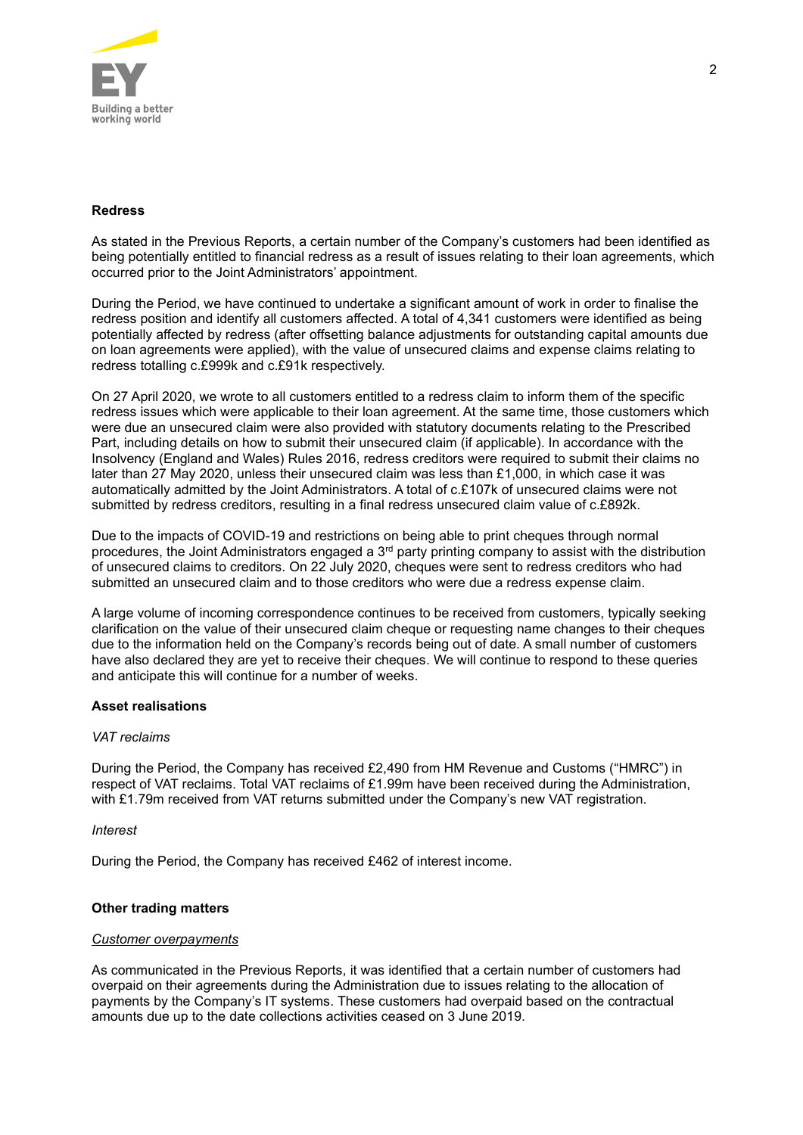

#### **Redress**

As stated in the Previous Reports, a certain number of the Company's customers had been identified as being potentially entitled to financial redress as a result of issues relating to their loan agreements, which occurred prior to the Joint Administrators' appointment.

During the Period, we have continued to undertake a significant amount of work in order to finalise the redress position and identify all customers affected. A total of 4,341 customers were identified as being potentially affected by redress (after offsetting balance adjustments for outstanding capital amounts due on loan agreements were applied), with the value of unsecured claims and expense claims relating to redress totalling c.£999k and c.£91k respectively.

On 27 April 2020, we wrote to all customers entitled to a redress claim to inform them of the specific redress issues which were applicable to their loan agreement. At the same time, those customers which were due an unsecured claim were also provided with statutory documents relating to the Prescribed Part, including details on how to submit their unsecured claim (if applicable). In accordance with the Insolvency (England and Wales) Rules 2016, redress creditors were required to submit their claims no later than 27 May 2020, unless their unsecured claim was less than £1,000, in which case it was automatically admitted by the Joint Administrators. A total of c.£107k of unsecured claims were not submitted by redress creditors, resulting in a final redress unsecured claim value of c.£892k.

Due to the impacts of COVID-19 and restrictions on being able to print cheques through normal procedures, the Joint Administrators engaged a 3<sup>rd</sup> party printing company to assist with the distribution of unsecured claims to creditors. On 22 July 2020, cheques were sent to redress creditors who had submitted an unsecured claim and to those creditors who were due a redress expense claim.

A large volume of incoming correspondence continues to be received from customers, typically seeking clarification on the value of their unsecured claim cheque or requesting name changes to their cheques due to the information held on the Company's records being out of date. A small number of customers have also declared they are yet to receive their cheques. We will continue to respond to these queries and anticipate this will continue for a number of weeks.

#### **Asset realisations**

#### *VAT reclaims*

During the Period, the Company has received £2,490 from HM Revenue and Customs ("HMRC") in respect of VAT reclaims. Total VAT reclaims of £1.99m have been received during the Administration, with £1.79m received from VAT returns submitted under the Company's new VAT registration.

#### *Interest*

During the Period, the Company has received £462 of interest income.

#### **Other trading matters**

#### *Customer overpayments*

As communicated in the Previous Reports, it was identified that a certain number of customers had overpaid on their agreements during the Administration due to issues relating to the allocation of payments by the Company's IT systems. These customers had overpaid based on the contractual amounts due up to the date collections activities ceased on 3 June 2019.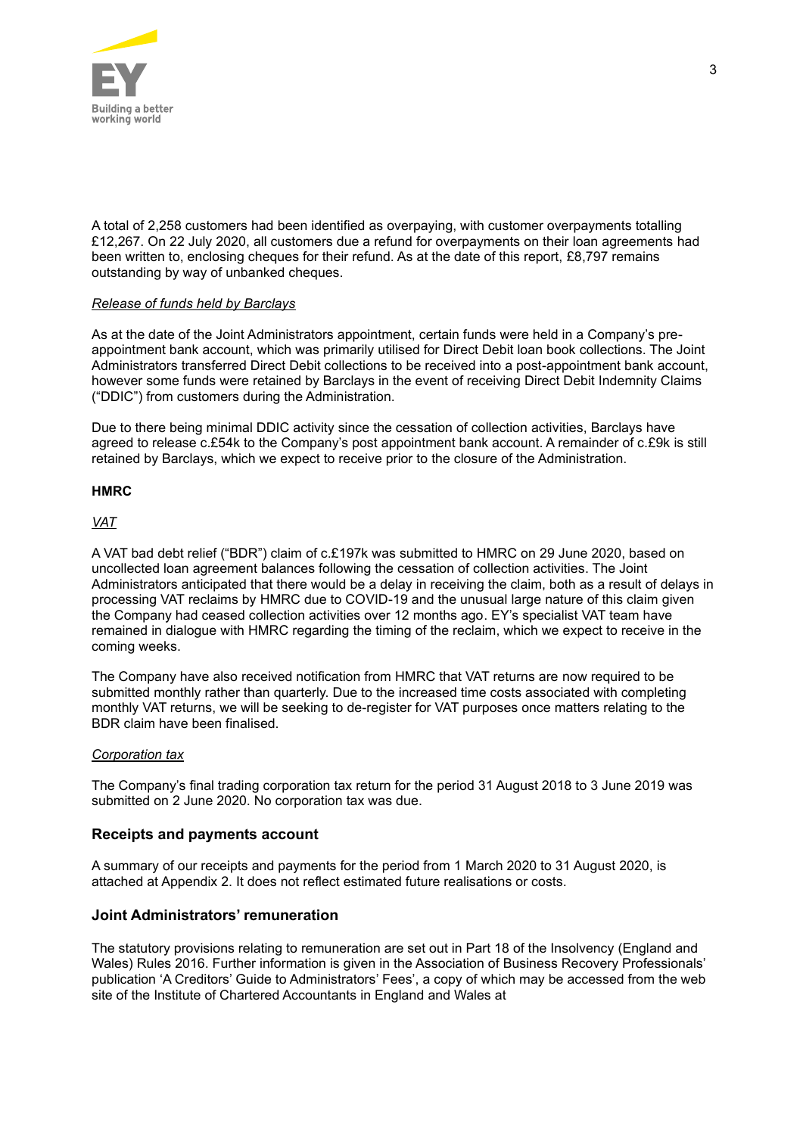

A total of 2,258 customers had been identified as overpaying, with customer overpayments totalling £12,267. On 22 July 2020, all customers due a refund for overpayments on their loan agreements had been written to, enclosing cheques for their refund. As at the date of this report, £8,797 remains outstanding by way of unbanked cheques.

#### *Release of funds held by Barclays*

As at the date of the Joint Administrators appointment, certain funds were held in a Company's preappointment bank account, which was primarily utilised for Direct Debit loan book collections. The Joint Administrators transferred Direct Debit collections to be received into a post-appointment bank account, however some funds were retained by Barclays in the event of receiving Direct Debit Indemnity Claims ("DDIC") from customers during the Administration.

Due to there being minimal DDIC activity since the cessation of collection activities, Barclays have agreed to release c.£54k to the Company's post appointment bank account. A remainder of c.£9k is still retained by Barclays, which we expect to receive prior to the closure of the Administration.

#### **HMRC**

#### *VAT*

A VAT bad debt relief ("BDR") claim of c.£197k was submitted to HMRC on 29 June 2020, based on uncollected loan agreement balances following the cessation of collection activities. The Joint Administrators anticipated that there would be a delay in receiving the claim, both as a result of delays in processing VAT reclaims by HMRC due to COVID-19 and the unusual large nature of this claim given the Company had ceased collection activities over 12 months ago. EY's specialist VAT team have remained in dialogue with HMRC regarding the timing of the reclaim, which we expect to receive in the coming weeks.

The Company have also received notification from HMRC that VAT returns are now required to be submitted monthly rather than quarterly. Due to the increased time costs associated with completing monthly VAT returns, we will be seeking to de-register for VAT purposes once matters relating to the BDR claim have been finalised.

#### *Corporation tax*

The Company's final trading corporation tax return for the period 31 August 2018 to 3 June 2019 was submitted on 2 June 2020. No corporation tax was due.

#### **Receipts and payments account**

A summary of our receipts and payments for the period from 1 March 2020 to 31 August 2020, is attached at Appendix 2. It does not reflect estimated future realisations or costs.

#### **Joint Administrators' remuneration**

The statutory provisions relating to remuneration are set out in Part 18 of the Insolvency (England and Wales) Rules 2016. Further information is given in the Association of Business Recovery Professionals' publication 'A Creditors' Guide to Administrators' Fees', a copy of which may be accessed from the web site of the Institute of Chartered Accountants in England and Wales at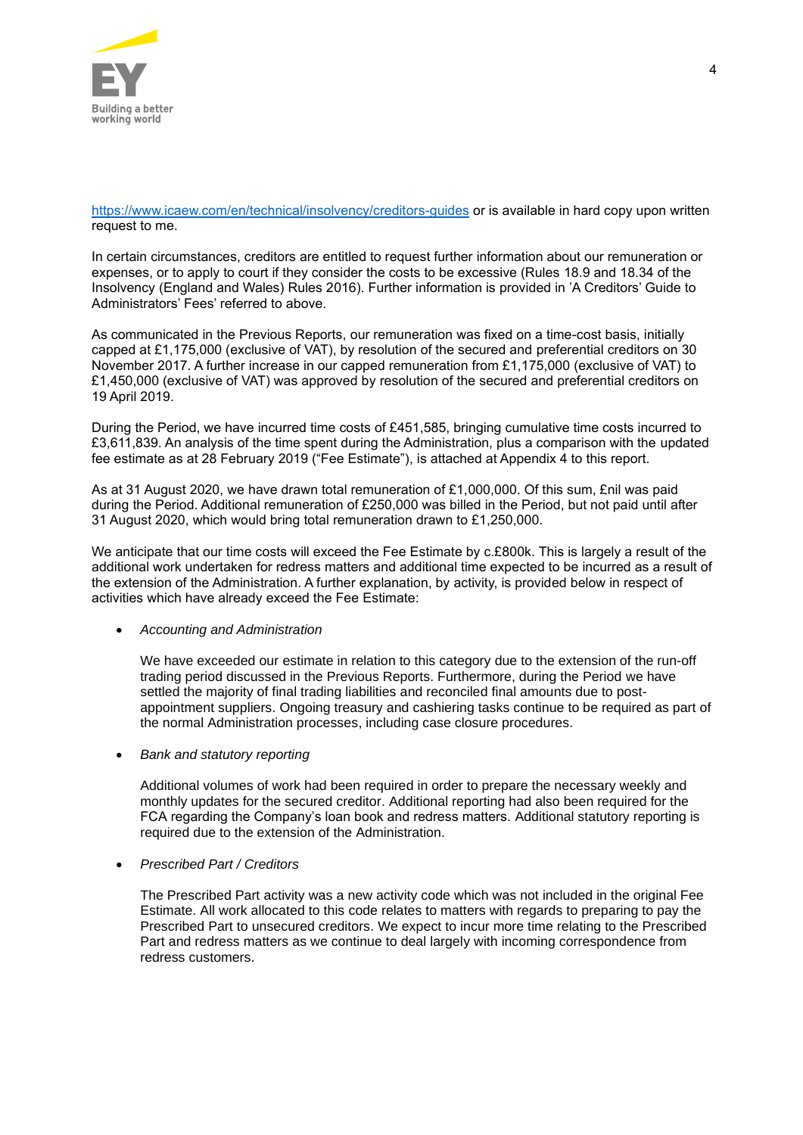

<https://www.icaew.com/en/technical/insolvency/creditors-guides> or is available in hard copy upon written request to me.

In certain circumstances, creditors are entitled to request further information about our remuneration or expenses, or to apply to court if they consider the costs to be excessive (Rules 18.9 and 18.34 of the Insolvency (England and Wales) Rules 2016). Further information is provided in 'A Creditors' Guide to Administrators' Fees' referred to above.

As communicated in the Previous Reports, our remuneration was fixed on a time-cost basis, initially capped at £1,175,000 (exclusive of VAT), by resolution of the secured and preferential creditors on 30 November 2017. A further increase in our capped remuneration from £1,175,000 (exclusive of VAT) to £1,450,000 (exclusive of VAT) was approved by resolution of the secured and preferential creditors on 19 April 2019.

During the Period, we have incurred time costs of £451,585, bringing cumulative time costs incurred to £3,611,839. An analysis of the time spent during the Administration, plus a comparison with the updated fee estimate as at 28 February 2019 ("Fee Estimate"), is attached at Appendix 4 to this report.

As at 31 August 2020, we have drawn total remuneration of £1,000,000. Of this sum, £nil was paid during the Period. Additional remuneration of £250,000 was billed in the Period, but not paid until after 31 August 2020, which would bring total remuneration drawn to £1,250,000.

We anticipate that our time costs will exceed the Fee Estimate by c.£800k. This is largely a result of the additional work undertaken for redress matters and additional time expected to be incurred as a result of the extension of the Administration. A further explanation, by activity, is provided below in respect of activities which have already exceed the Fee Estimate:

#### • *Accounting and Administration*

We have exceeded our estimate in relation to this category due to the extension of the run-off trading period discussed in the Previous Reports. Furthermore, during the Period we have settled the majority of final trading liabilities and reconciled final amounts due to postappointment suppliers. Ongoing treasury and cashiering tasks continue to be required as part of the normal Administration processes, including case closure procedures.

• *Bank and statutory reporting*

Additional volumes of work had been required in order to prepare the necessary weekly and monthly updates for the secured creditor. Additional reporting had also been required for the FCA regarding the Company's loan book and redress matters. Additional statutory reporting is required due to the extension of the Administration.

• *Prescribed Part / Creditors*

The Prescribed Part activity was a new activity code which was not included in the original Fee Estimate. All work allocated to this code relates to matters with regards to preparing to pay the Prescribed Part to unsecured creditors. We expect to incur more time relating to the Prescribed Part and redress matters as we continue to deal largely with incoming correspondence from redress customers.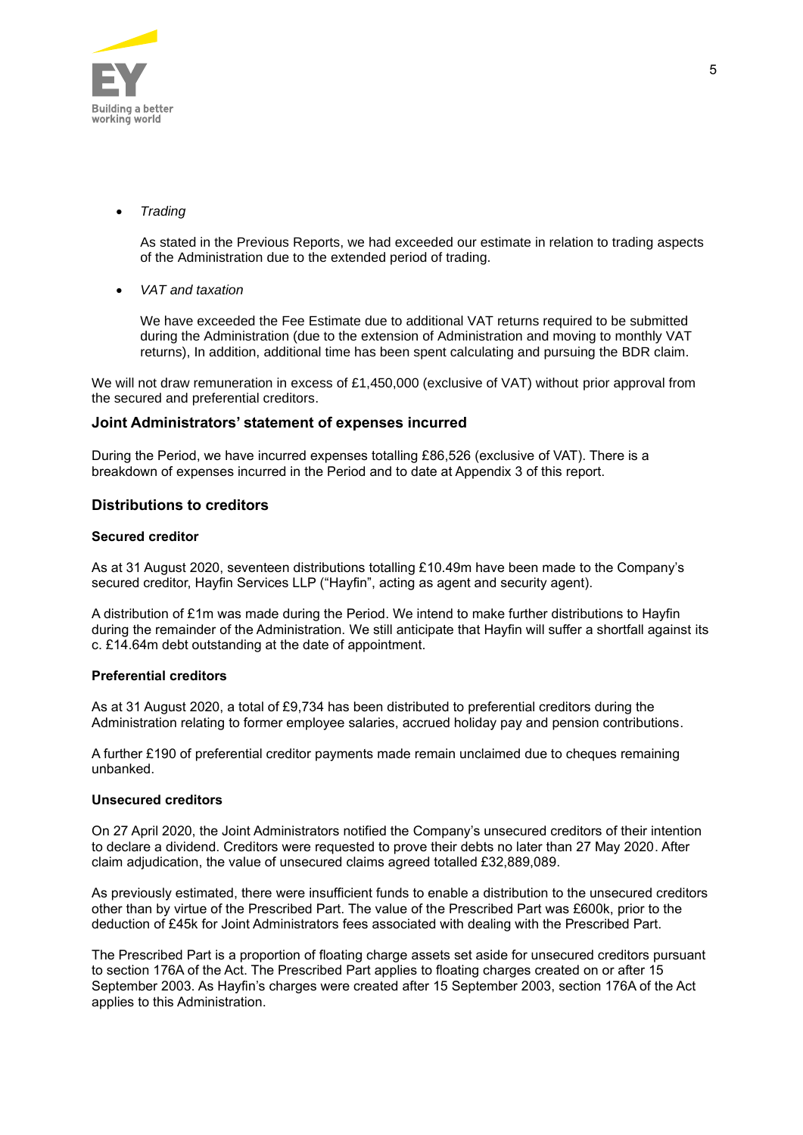

• *Trading* 

As stated in the Previous Reports, we had exceeded our estimate in relation to trading aspects of the Administration due to the extended period of trading.

• *VAT and taxation*

We have exceeded the Fee Estimate due to additional VAT returns required to be submitted during the Administration (due to the extension of Administration and moving to monthly VAT returns), In addition, additional time has been spent calculating and pursuing the BDR claim.

We will not draw remuneration in excess of £1,450,000 (exclusive of VAT) without prior approval from the secured and preferential creditors.

#### **Joint Administrators' statement of expenses incurred**

During the Period, we have incurred expenses totalling £86,526 (exclusive of VAT). There is a breakdown of expenses incurred in the Period and to date at Appendix 3 of this report.

#### **Distributions to creditors**

#### **Secured creditor**

As at 31 August 2020, seventeen distributions totalling £10.49m have been made to the Company's secured creditor, Hayfin Services LLP ("Hayfin", acting as agent and security agent).

A distribution of £1m was made during the Period. We intend to make further distributions to Hayfin during the remainder of the Administration. We still anticipate that Hayfin will suffer a shortfall against its c. £14.64m debt outstanding at the date of appointment.

#### **Preferential creditors**

As at 31 August 2020, a total of £9,734 has been distributed to preferential creditors during the Administration relating to former employee salaries, accrued holiday pay and pension contributions.

A further £190 of preferential creditor payments made remain unclaimed due to cheques remaining unbanked.

#### **Unsecured creditors**

On 27 April 2020, the Joint Administrators notified the Company's unsecured creditors of their intention to declare a dividend. Creditors were requested to prove their debts no later than 27 May 2020. After claim adjudication, the value of unsecured claims agreed totalled £32,889,089.

As previously estimated, there were insufficient funds to enable a distribution to the unsecured creditors other than by virtue of the Prescribed Part. The value of the Prescribed Part was £600k, prior to the deduction of £45k for Joint Administrators fees associated with dealing with the Prescribed Part.

The Prescribed Part is a proportion of floating charge assets set aside for unsecured creditors pursuant to section 176A of the Act. The Prescribed Part applies to floating charges created on or after 15 September 2003. As Hayfin's charges were created after 15 September 2003, section 176A of the Act applies to this Administration.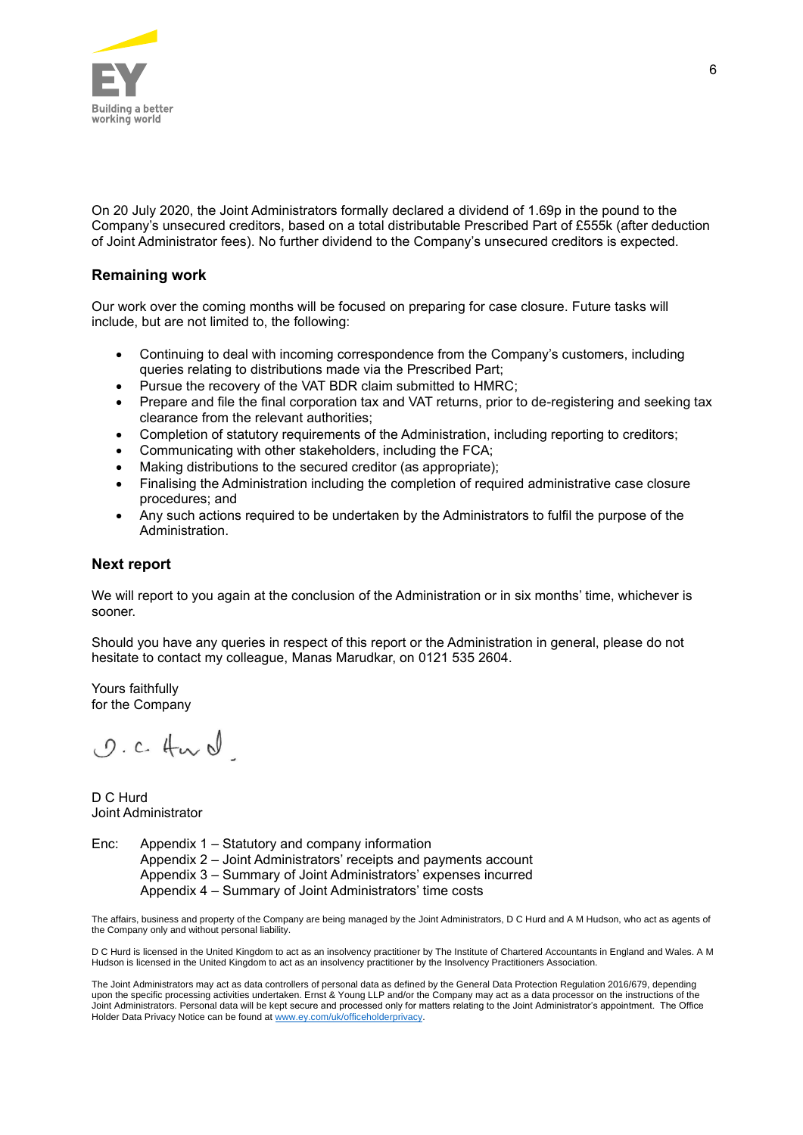

On 20 July 2020, the Joint Administrators formally declared a dividend of 1.69p in the pound to the Company's unsecured creditors, based on a total distributable Prescribed Part of £555k (after deduction of Joint Administrator fees). No further dividend to the Company's unsecured creditors is expected.

#### **Remaining work**

Our work over the coming months will be focused on preparing for case closure. Future tasks will include, but are not limited to, the following:

- Continuing to deal with incoming correspondence from the Company's customers, including queries relating to distributions made via the Prescribed Part;
- Pursue the recovery of the VAT BDR claim submitted to HMRC;
- Prepare and file the final corporation tax and VAT returns, prior to de-registering and seeking tax clearance from the relevant authorities;
- Completion of statutory requirements of the Administration, including reporting to creditors;
- Communicating with other stakeholders, including the FCA;
- Making distributions to the secured creditor (as appropriate);
- Finalising the Administration including the completion of required administrative case closure procedures; and
- Any such actions required to be undertaken by the Administrators to fulfil the purpose of the Administration.

#### **Next report**

We will report to you again at the conclusion of the Administration or in six months' time, whichever is sooner.

Should you have any queries in respect of this report or the Administration in general, please do not hesitate to contact my colleague, Manas Marudkar, on 0121 535 2604.

Yours faithfully for the Company

 $0. c.$  for  $d$ 

D C Hurd Joint Administrator

Enc: Appendix 1 – Statutory and company information Appendix 2 – Joint Administrators' receipts and payments account Appendix 3 – Summary of Joint Administrators' expenses incurred Appendix 4 – Summary of Joint Administrators' time costs

The affairs, business and property of the Company are being managed by the Joint Administrators, D C Hurd and A M Hudson, who act as agents of the Company only and without personal liability.

D C Hurd is licensed in the United Kingdom to act as an insolvency practitioner by The Institute of Chartered Accountants in England and Wales. A M Hudson is licensed in the United Kingdom to act as an insolvency practitioner by the Insolvency Practitioners Association.

The Joint Administrators may act as data controllers of personal data as defined by the General Data Protection Regulation 2016/679, depending upon the specific processing activities undertaken. Ernst & Young LLP and/or the Company may act as a data processor on the instructions of the Joint Administrators. Personal data will be kept secure and processed only for matters relating to the Joint Administrator's appointment. The Office Holder Data Privacy Notice can be found a[t www.ey.com/uk/officeholderprivacy.](http://www.ey.com/uk/officeholderprivacy)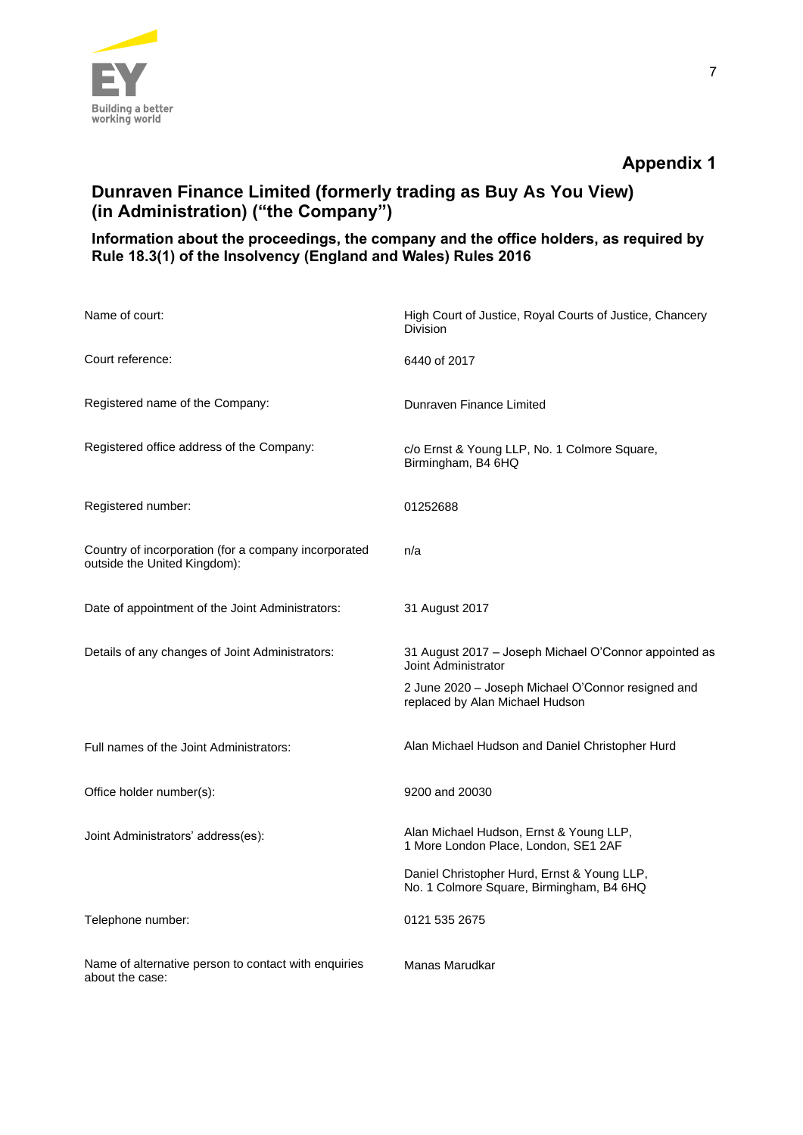

# **Appendix 1**

# **Dunraven Finance Limited (formerly trading as Buy As You View) (in Administration) ("the Company")**

### **Information about the proceedings, the company and the office holders, as required by Rule 18.3(1) of the Insolvency (England and Wales) Rules 2016**

| Name of court:                                                                       | High Court of Justice, Royal Courts of Justice, Chancery<br><b>Division</b>             |
|--------------------------------------------------------------------------------------|-----------------------------------------------------------------------------------------|
| Court reference:                                                                     | 6440 of 2017                                                                            |
| Registered name of the Company:                                                      | Dunraven Finance Limited                                                                |
| Registered office address of the Company:                                            | c/o Ernst & Young LLP, No. 1 Colmore Square,<br>Birmingham, B4 6HQ                      |
| Registered number:                                                                   | 01252688                                                                                |
| Country of incorporation (for a company incorporated<br>outside the United Kingdom): | n/a                                                                                     |
| Date of appointment of the Joint Administrators:                                     | 31 August 2017                                                                          |
| Details of any changes of Joint Administrators:                                      | 31 August 2017 - Joseph Michael O'Connor appointed as<br>Joint Administrator            |
|                                                                                      | 2 June 2020 - Joseph Michael O'Connor resigned and<br>replaced by Alan Michael Hudson   |
| Full names of the Joint Administrators:                                              | Alan Michael Hudson and Daniel Christopher Hurd                                         |
| Office holder number(s):                                                             | 9200 and 20030                                                                          |
| Joint Administrators' address(es):                                                   | Alan Michael Hudson, Ernst & Young LLP,<br>1 More London Place, London, SE1 2AF         |
|                                                                                      | Daniel Christopher Hurd, Ernst & Young LLP,<br>No. 1 Colmore Square, Birmingham, B4 6HQ |
| Telephone number:                                                                    | 0121 535 2675                                                                           |
| Name of alternative person to contact with enquiries<br>about the case:              | Manas Marudkar                                                                          |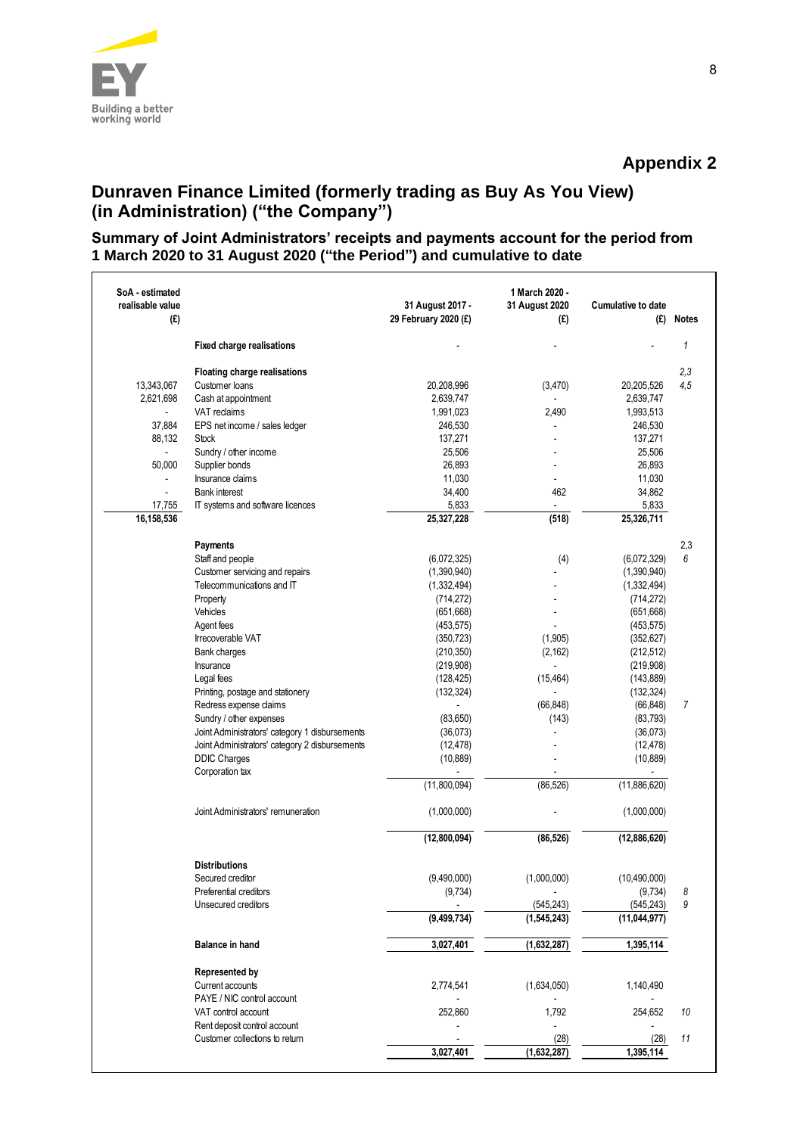

# **Dunraven Finance Limited (formerly trading as Buy As You View) (in Administration) ("the Company")**

### **Summary of Joint Administrators' receipts and payments account for the period from 1 March 2020 to 31 August 2020 ("the Period") and cumulative to date**

| SoA - estimated<br>realisable value<br>(£) |                                                    | 31 August 2017 -<br>29 February 2020 (£) | 1 March 2020 -<br>31 August 2020<br>(£) | Cumulative to date<br>(£) | <b>Notes</b> |
|--------------------------------------------|----------------------------------------------------|------------------------------------------|-----------------------------------------|---------------------------|--------------|
|                                            | <b>Fixed charge realisations</b>                   |                                          |                                         |                           | $\mathbf{1}$ |
|                                            | <b>Floating charge realisations</b>                |                                          |                                         |                           | 2,3          |
| 13,343,067                                 | Customer loans                                     | 20,208,996                               | (3,470)                                 | 20,205,526                | 4,5          |
| 2,621,698                                  | Cash at appointment                                | 2,639,747                                |                                         | 2,639,747                 |              |
|                                            | VAT reclaims                                       | 1,991,023                                | 2,490                                   | 1,993,513                 |              |
| 37,884                                     | EPS net income / sales ledger                      | 246,530                                  |                                         | 246,530                   |              |
| 88,132                                     | <b>Stock</b>                                       | 137,271                                  |                                         | 137,271                   |              |
|                                            | Sundry / other income                              | 25,506                                   |                                         | 25,506                    |              |
| 50,000                                     | Supplier bonds                                     | 26,893                                   |                                         | 26,893                    |              |
| $\overline{\phantom{a}}$                   | Insurance claims                                   | 11,030                                   | ÷                                       | 11,030                    |              |
|                                            | <b>Bank interest</b>                               | 34,400                                   | 462                                     | 34,862                    |              |
| 17,755                                     | IT systems and software licences                   | 5,833                                    |                                         | 5,833                     |              |
| 16,158,536                                 |                                                    | 25,327,228                               | (518)                                   | 25,326,711                |              |
|                                            | Payments                                           |                                          |                                         |                           |              |
|                                            |                                                    |                                          |                                         |                           | 2,3<br>6     |
|                                            | Staff and people<br>Customer servicing and repairs | (6,072,325)<br>(1,390,940)               | (4)                                     | (6,072,329)               |              |
|                                            |                                                    |                                          |                                         | (1,390,940)               |              |
|                                            | Telecommunications and IT                          | (1,332,494)<br>(714, 272)                |                                         | (1, 332, 494)             |              |
|                                            | Property<br>Vehicles                               |                                          |                                         | (714, 272)                |              |
|                                            |                                                    | (651, 668)                               |                                         | (651, 668)                |              |
|                                            | Agent fees                                         | (453, 575)                               |                                         | (453, 575)                |              |
|                                            | Irrecoverable VAT                                  | (350, 723)                               | (1,905)                                 | (352, 627)                |              |
|                                            | Bank charges                                       | (210, 350)                               | (2, 162)                                | (212, 512)                |              |
|                                            | Insurance                                          | (219, 908)                               |                                         | (219, 908)                |              |
|                                            | Legal fees                                         | (128, 425)                               | (15, 464)                               | (143, 889)                |              |
|                                            | Printing, postage and stationery                   | (132, 324)                               |                                         | (132, 324)                |              |
|                                            | Redress expense claims                             | $\overline{\phantom{a}}$                 | (66, 848)                               | (66, 848)                 | 7            |
|                                            | Sundry / other expenses                            | (83,650)                                 | (143)                                   | (83, 793)                 |              |
|                                            | Joint Administrators' category 1 disbursements     | (36,073)                                 |                                         | (36,073)                  |              |
|                                            | Joint Administrators' category 2 disbursements     | (12, 478)                                |                                         | (12, 478)                 |              |
|                                            | <b>DDIC Charges</b><br>Corporation tax             | (10, 889)                                |                                         | (10, 889)                 |              |
|                                            |                                                    | (11,800,094)                             | (86, 526)                               | (11,886,620)              |              |
|                                            |                                                    |                                          |                                         |                           |              |
|                                            | Joint Administrators' remuneration                 | (1,000,000)                              |                                         | (1,000,000)               |              |
|                                            |                                                    | (12,800,094)                             | (86, 526)                               | (12,886,620)              |              |
|                                            | <b>Distributions</b>                               |                                          |                                         |                           |              |
|                                            | Secured creditor                                   | (9,490,000)                              | (1,000,000)                             | (10, 490, 000)            |              |
|                                            | Preferential creditors                             | (9,734)                                  |                                         | (9,734)                   | 8            |
|                                            | Unsecured creditors                                |                                          | (545, 243)                              | (545, 243)                | 9            |
|                                            |                                                    | (9, 499, 734)                            | (1, 545, 243)                           | (11, 044, 977)            |              |
|                                            | <b>Balance in hand</b>                             | 3,027,401                                | (1,632,287)                             | 1,395,114                 |              |
|                                            | Represented by                                     |                                          |                                         |                           |              |
|                                            | Current accounts                                   | 2,774,541                                | (1,634,050)                             | 1,140,490                 |              |
|                                            | PAYE / NIC control account                         |                                          |                                         |                           |              |
|                                            | VAT control account                                | 252,860                                  | 1,792                                   | 254,652                   | 10           |
|                                            | Rent deposit control account                       |                                          |                                         |                           |              |
|                                            | Customer collections to return                     |                                          | (28)                                    | (28)                      | 11           |
|                                            |                                                    | 3,027,401                                | (1,632,287)                             | 1,395,114                 |              |
|                                            |                                                    |                                          |                                         |                           |              |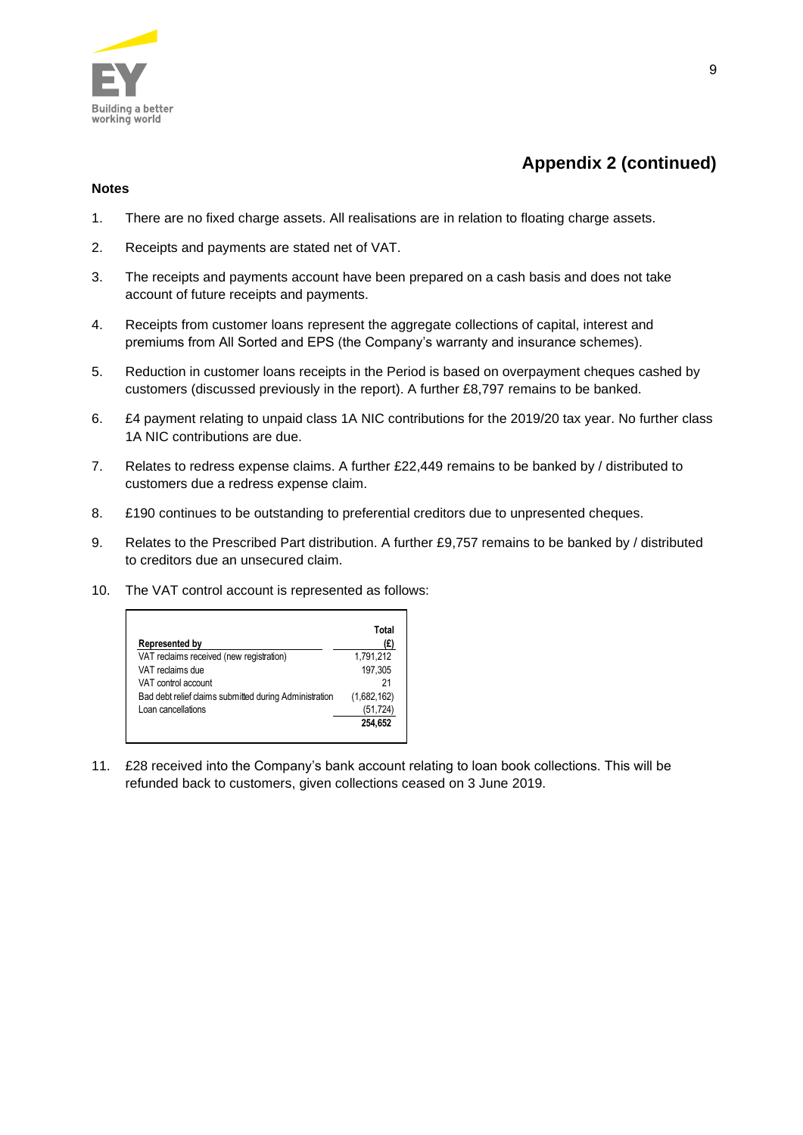

# **Appendix 2 (continued)**

#### **Notes**

- 1. There are no fixed charge assets. All realisations are in relation to floating charge assets.
- 2. Receipts and payments are stated net of VAT.
- 3. The receipts and payments account have been prepared on a cash basis and does not take account of future receipts and payments.
- 4. Receipts from customer loans represent the aggregate collections of capital, interest and premiums from All Sorted and EPS (the Company's warranty and insurance schemes).
- 5. Reduction in customer loans receipts in the Period is based on overpayment cheques cashed by customers (discussed previously in the report). A further £8,797 remains to be banked.
- 6. £4 payment relating to unpaid class 1A NIC contributions for the 2019/20 tax year. No further class 1A NIC contributions are due.
- 7. Relates to redress expense claims. A further £22,449 remains to be banked by / distributed to customers due a redress expense claim.
- 8. £190 continues to be outstanding to preferential creditors due to unpresented cheques.
- 9. Relates to the Prescribed Part distribution. A further £9,757 remains to be banked by / distributed to creditors due an unsecured claim.
- 10. The VAT control account is represented as follows:

| Represented by                                         | Total<br>(£) |
|--------------------------------------------------------|--------------|
| VAT reclaims received (new registration)               | 1,791,212    |
| VAT reclaims due                                       | 197.305      |
| VAT control account                                    | 21           |
| Bad debt relief claims submitted during Administration | (1,682,162)  |
| Loan cancellations                                     | (51,724)     |
|                                                        | 254.652      |

11. £28 received into the Company's bank account relating to loan book collections. This will be refunded back to customers, given collections ceased on 3 June 2019.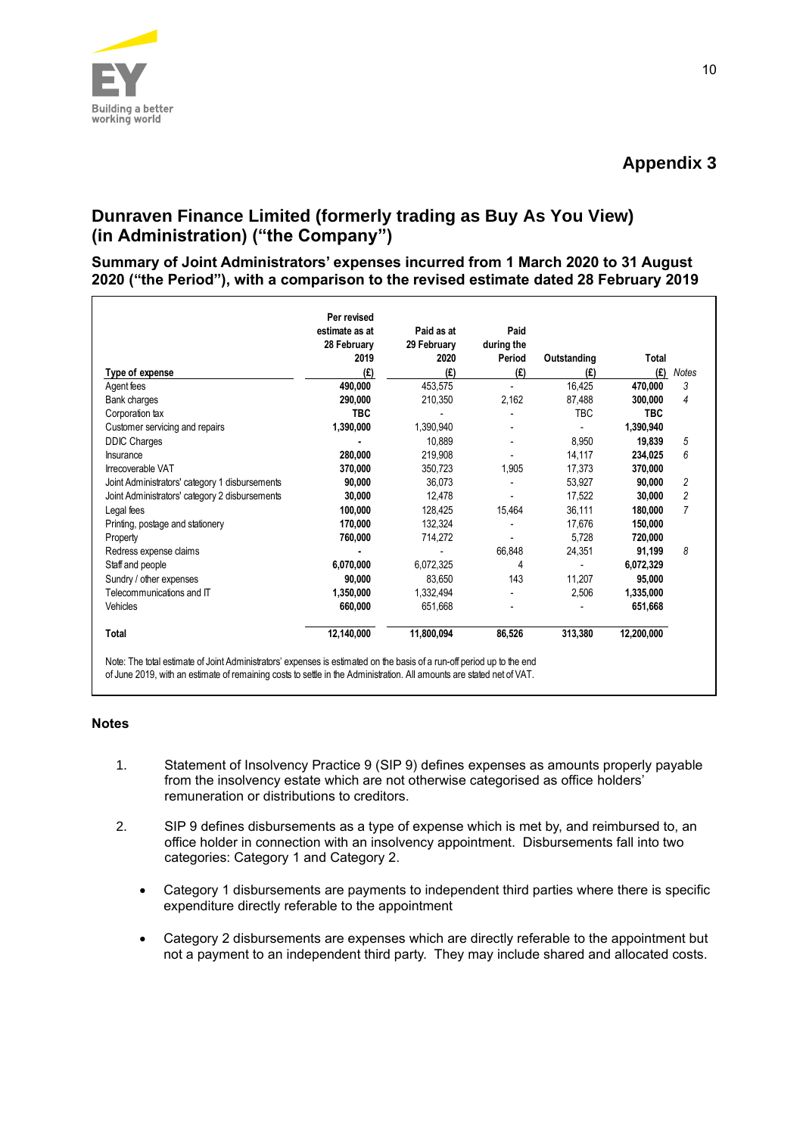

# **Dunraven Finance Limited (formerly trading as Buy As You View) (in Administration) ("the Company")**

**Summary of Joint Administrators' expenses incurred from 1 March 2020 to 31 August 2020 ("the Period"), with a comparison to the revised estimate dated 28 February 2019**

|                                                | Per revised<br>estimate as at<br>28 February | Paid as at<br>29 February | Paid<br>during the |             |              |                |
|------------------------------------------------|----------------------------------------------|---------------------------|--------------------|-------------|--------------|----------------|
|                                                | 2019                                         | 2020                      | Period             | Outstanding | <b>Total</b> |                |
| Type of expense                                | (£)                                          | (£)                       | (E)                | (E)         | (E)          | <b>Notes</b>   |
| Agent fees                                     | 490,000                                      | 453,575                   |                    | 16,425      | 470,000      | 3              |
| Bank charges                                   | 290,000                                      | 210,350                   | 2,162              | 87,488      | 300,000      | 4              |
| Corporation tax                                | <b>TBC</b>                                   |                           |                    | <b>TBC</b>  | <b>TBC</b>   |                |
| Customer servicing and repairs                 | 1,390,000                                    | 1,390,940                 |                    |             | 1,390,940    |                |
| <b>DDIC Charges</b>                            |                                              | 10.889                    |                    | 8,950       | 19.839       | 5              |
| Insurance                                      | 280,000                                      | 219,908                   |                    | 14,117      | 234,025      | 6              |
| Irrecoverable VAT                              | 370,000                                      | 350,723                   | 1,905              | 17,373      | 370,000      |                |
| Joint Administrators' category 1 disbursements | 90,000                                       | 36,073                    |                    | 53,927      | 90,000       | 2              |
| Joint Administrators' category 2 disbursements | 30,000                                       | 12,478                    |                    | 17.522      | 30,000       | $\overline{c}$ |
| Legal fees                                     | 100,000                                      | 128,425                   | 15,464             | 36,111      | 180,000      | $\overline{7}$ |
| Printing, postage and stationery               | 170,000                                      | 132,324                   |                    | 17,676      | 150,000      |                |
| Property                                       | 760,000                                      | 714,272                   |                    | 5,728       | 720,000      |                |
| Redress expense claims                         |                                              |                           | 66,848             | 24,351      | 91,199       | 8              |
| Staff and people                               | 6,070,000                                    | 6,072,325                 | 4                  |             | 6,072,329    |                |
| Sundry / other expenses                        | 90.000                                       | 83.650                    | 143                | 11,207      | 95,000       |                |
| Telecommunications and IT                      | 1,350,000                                    | 1,332,494                 |                    | 2,506       | 1,335,000    |                |
| Vehicles                                       | 660,000                                      | 651,668                   |                    |             | 651,668      |                |
| <b>Total</b>                                   | 12,140,000                                   | 11.800.094                | 86,526             | 313,380     | 12,200,000   |                |

#### **Notes**

- 1. Statement of Insolvency Practice 9 (SIP 9) defines expenses as amounts properly payable from the insolvency estate which are not otherwise categorised as office holders' remuneration or distributions to creditors.
- 2. SIP 9 defines disbursements as a type of expense which is met by, and reimbursed to, an office holder in connection with an insolvency appointment. Disbursements fall into two categories: Category 1 and Category 2.
	- Category 1 disbursements are payments to independent third parties where there is specific expenditure directly referable to the appointment
	- Category 2 disbursements are expenses which are directly referable to the appointment but not a payment to an independent third party. They may include shared and allocated costs.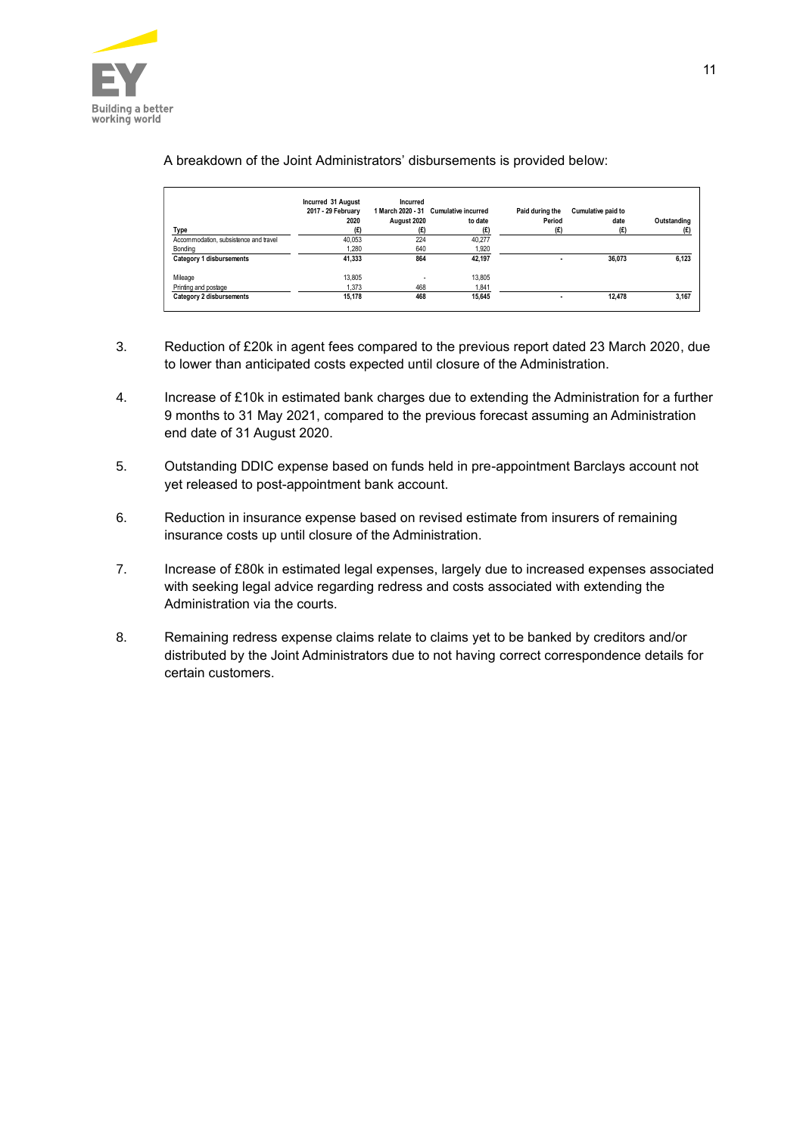

#### A breakdown of the Joint Administrators' disbursements is provided below:

|                                       | Incurred 31 August<br>2017 - 29 February<br>2020 | Incurred<br>August 2020 | 1 March 2020 - 31 Cumulative incurred<br>to date | Paid during the<br>Period | <b>Cumulative paid to</b><br>date | Outstanding |
|---------------------------------------|--------------------------------------------------|-------------------------|--------------------------------------------------|---------------------------|-----------------------------------|-------------|
| Type                                  | (E)                                              | (E)                     | (E)                                              | (E)                       | (E)                               | (£)         |
| Accommodation, subsistence and travel | 40.053                                           | 224                     | 40.277                                           |                           |                                   |             |
| Bonding                               | 1.280                                            | 640                     | 1,920                                            |                           |                                   |             |
| Category 1 disbursements              | 41.333                                           | 864                     | 42.197                                           | ۰                         | 36.073                            | 6,123       |
| Mileage                               | 13,805                                           | ٠                       | 13,805                                           |                           |                                   |             |
| Printing and postage                  | 1.373                                            | 468                     | 1.841                                            |                           |                                   |             |
| Category 2 disbursements              | 15.178                                           | 468                     | 15.645                                           | ۰                         | 12.478                            | 3,167       |

- 3. Reduction of £20k in agent fees compared to the previous report dated 23 March 2020, due to lower than anticipated costs expected until closure of the Administration.
- 4. Increase of £10k in estimated bank charges due to extending the Administration for a further 9 months to 31 May 2021, compared to the previous forecast assuming an Administration end date of 31 August 2020.
- 5. Outstanding DDIC expense based on funds held in pre-appointment Barclays account not yet released to post-appointment bank account.
- 6. Reduction in insurance expense based on revised estimate from insurers of remaining insurance costs up until closure of the Administration.
- 7. Increase of £80k in estimated legal expenses, largely due to increased expenses associated with seeking legal advice regarding redress and costs associated with extending the Administration via the courts.
- 8. Remaining redress expense claims relate to claims yet to be banked by creditors and/or distributed by the Joint Administrators due to not having correct correspondence details for certain customers.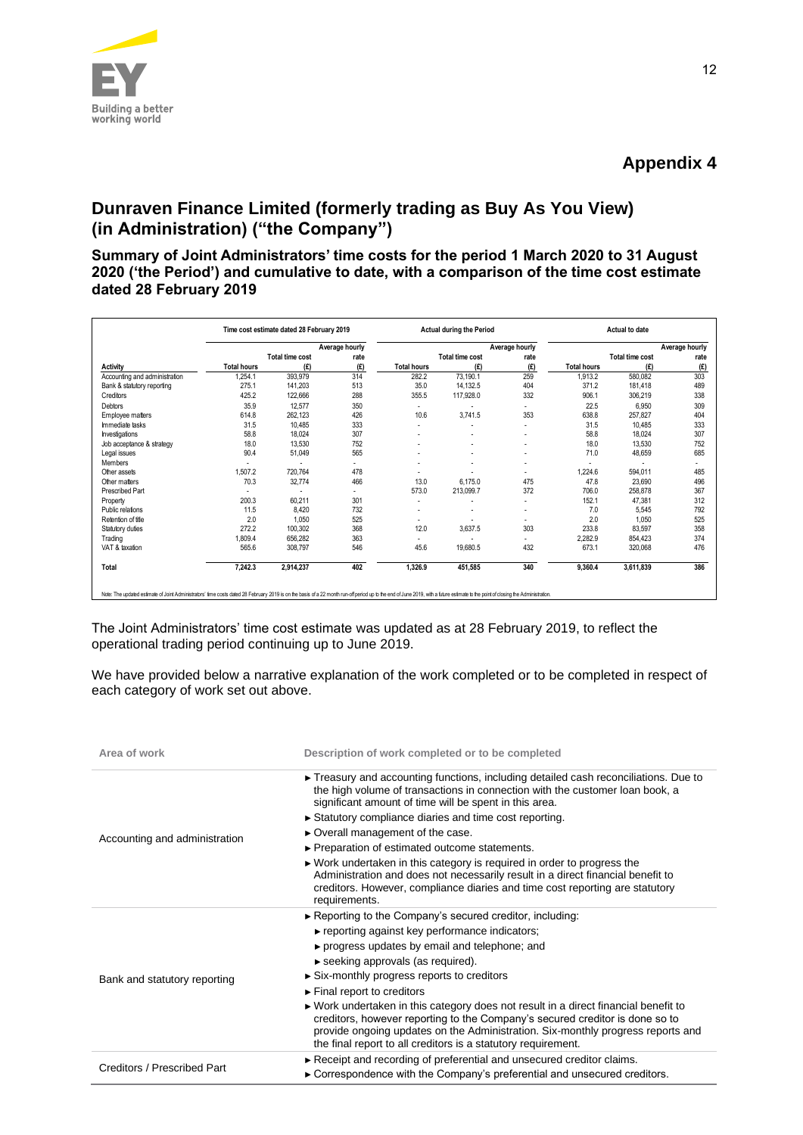

# **Appendix 4**

# **Dunraven Finance Limited (formerly trading as Buy As You View) (in Administration) ("the Company")**

**Summary of Joint Administrators' time costs for the period 1 March 2020 to 31 August 2020 ('the Period') and cumulative to date, with a comparison of the time cost estimate dated 28 February 2019**

|                               |                    | Time cost estimate dated 28 February 2019 |                |                    | <b>Actual during the Period</b> |                |                    | <b>Actual to date</b> |                |
|-------------------------------|--------------------|-------------------------------------------|----------------|--------------------|---------------------------------|----------------|--------------------|-----------------------|----------------|
|                               |                    |                                           | Average hourly |                    |                                 | Average hourly |                    |                       | Average hourly |
|                               |                    | Total time cost                           | rate           |                    | <b>Total time cost</b>          | rate           |                    | Total time cost       | rate           |
| <b>Activity</b>               | <b>Total hours</b> | (E)                                       | (E)            | <b>Total hours</b> | (E)                             | (E)            | <b>Total hours</b> | (£)                   | (E)            |
| Accounting and administration | 1,254.1            | 393,979                                   | 314            | 282.2              | 73,190.1                        | 259            | 1,913.2            | 580,082               | 303            |
| Bank & statutory reporting    | 275.1              | 141,203                                   | 513            | 35.0               | 14.132.5                        | 404            | 371.2              | 181,418               | 489            |
| Creditors                     | 425.2              | 122,666                                   | 288            | 355.5              | 117,928.0                       | 332            | 906.1              | 306,219               | 338            |
| Debtors                       | 35.9               | 12.577                                    | 350            | ×.                 |                                 | ٠              | 22.5               | 6.950                 | 309            |
| Employee matters              | 614.8              | 262.123                                   | 426            | 10.6               | 3,741.5                         | 353            | 638.8              | 257.827               | 404            |
| Immediate tasks               | 31.5               | 10.485                                    | 333            | ×.                 | ٠                               | ٠              | 31.5               | 10.485                | 333            |
| Investigations                | 58.8               | 18,024                                    | 307            |                    |                                 | ٠              | 58.8               | 18,024                | 307            |
| Job acceptance & strategy     | 18.0               | 13.530                                    | 752            |                    |                                 |                | 18.0               | 13,530                | 752            |
| Legal issues                  | 90.4               | 51,049                                    | 565            |                    | ٠                               | ٠              | 71.0               | 48,659                | 685            |
| Members                       |                    |                                           | ٠              |                    | ٠                               | ٠              |                    |                       |                |
| Other assets                  | 1,507.2            | 720,764                                   | 478            |                    |                                 | ٠              | 1,224.6            | 594.011               | 485            |
| Other matters                 | 70.3               | 32,774                                    | 466            | 13.0               | 6.175.0                         | 475            | 47.8               | 23,690                | 496            |
| <b>Prescribed Part</b>        |                    |                                           | ٠              | 573.0              | 213.099.7                       | 372            | 706.0              | 258,878               | 367            |
| Property                      | 200.3              | 60,211                                    | 301            | ×.                 |                                 | ٠              | 152.1              | 47,381                | 312            |
| Public relations              | 11.5               | 8,420                                     | 732            | ٠                  | ٠                               | ٠              | 7.0                | 5,545                 | 792            |
| Retention of title            | 2.0                | 1,050                                     | 525            |                    |                                 |                | 2.0                | 1,050                 | 525            |
| Statutory duties              | 272.2              | 100.302                                   | 368            | 12.0               | 3,637.5                         | 303            | 233.8              | 83.597                | 358            |
| Trading                       | 1,809.4            | 656,282                                   | 363            |                    |                                 |                | 2,282.9            | 854.423               | 374            |
| VAT & taxation                | 565.6              | 308,797                                   | 546            | 45.6               | 19,680.5                        | 432            | 673.1              | 320,068               | 476            |
| Total                         | 7,242.3            | 2,914,237                                 | 402            | 1.326.9            | 451,585                         | 340            | 9.360.4            | 3,611,839             | 386            |

The Joint Administrators' time cost estimate was updated as at 28 February 2019, to reflect the operational trading period continuing up to June 2019.

We have provided below a narrative explanation of the work completed or to be completed in respect of each category of work set out above.

| Area of work                  | Description of work completed or to be completed                                                                                                                                                                                                                                                                                                                                                                                                                         |
|-------------------------------|--------------------------------------------------------------------------------------------------------------------------------------------------------------------------------------------------------------------------------------------------------------------------------------------------------------------------------------------------------------------------------------------------------------------------------------------------------------------------|
| Accounting and administration | ► Treasury and accounting functions, including detailed cash reconciliations. Due to<br>the high volume of transactions in connection with the customer loan book, a<br>significant amount of time will be spent in this area.<br>Statutory compliance diaries and time cost reporting.<br>► Overall management of the case.<br>► Preparation of estimated outcome statements.<br>$\triangleright$ Work undertaken in this category is required in order to progress the |
|                               | Administration and does not necessarily result in a direct financial benefit to<br>creditors. However, compliance diaries and time cost reporting are statutory<br>requirements.                                                                                                                                                                                                                                                                                         |
|                               | ► Reporting to the Company's secured creditor, including:                                                                                                                                                                                                                                                                                                                                                                                                                |
|                               | $\triangleright$ reporting against key performance indicators;<br>► progress updates by email and telephone; and                                                                                                                                                                                                                                                                                                                                                         |
|                               | $\triangleright$ seeking approvals (as required).                                                                                                                                                                                                                                                                                                                                                                                                                        |
| Bank and statutory reporting  | $\triangleright$ Six-monthly progress reports to creditors                                                                                                                                                                                                                                                                                                                                                                                                               |
|                               | $\blacktriangleright$ Final report to creditors                                                                                                                                                                                                                                                                                                                                                                                                                          |
|                               | ► Work undertaken in this category does not result in a direct financial benefit to<br>creditors, however reporting to the Company's secured creditor is done so to<br>provide ongoing updates on the Administration. Six-monthly progress reports and<br>the final report to all creditors is a statutory requirement.                                                                                                                                                  |
|                               | Receipt and recording of preferential and unsecured creditor claims.                                                                                                                                                                                                                                                                                                                                                                                                     |
| Creditors / Prescribed Part   | ► Correspondence with the Company's preferential and unsecured creditors.                                                                                                                                                                                                                                                                                                                                                                                                |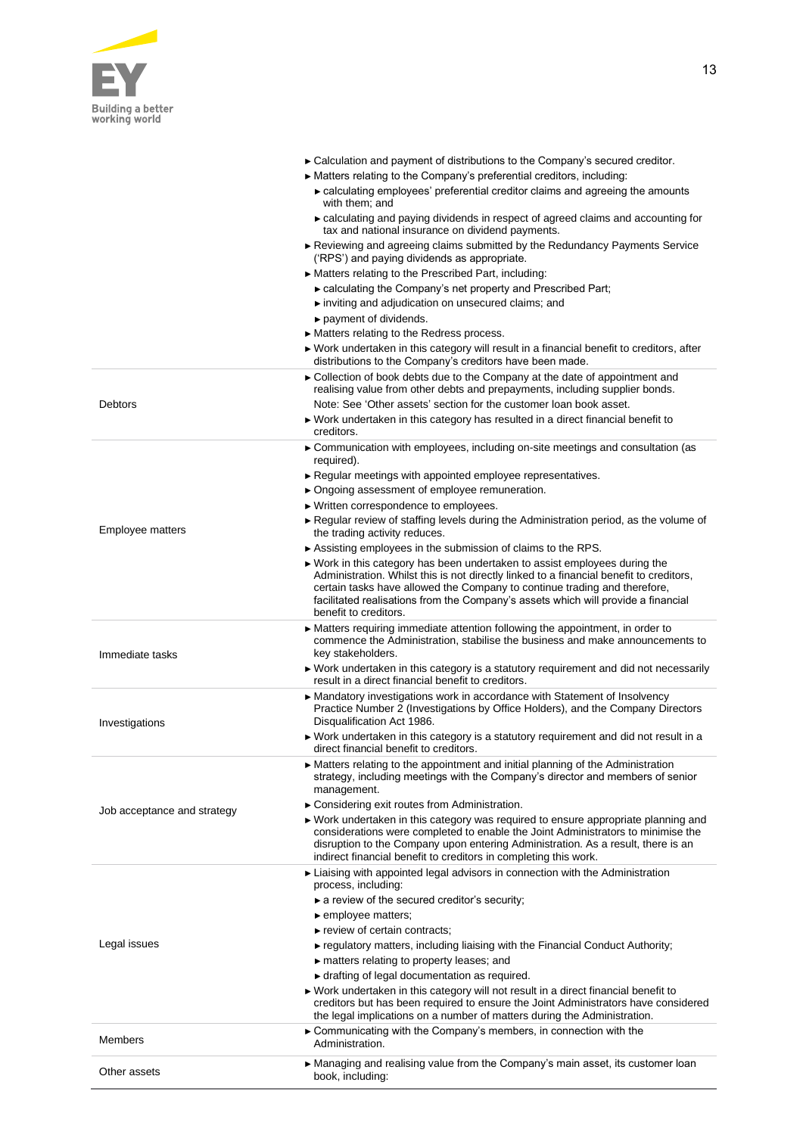

Debtors

| $\triangleright$ Calculation and payment of distributions to the Company's secured creditor.                                                                         |
|----------------------------------------------------------------------------------------------------------------------------------------------------------------------|
| $\triangleright$ Matters relating to the Company's preferential creditors, including:                                                                                |
| $\triangleright$ calculating employees' preferential creditor claims and agreeing the amounts<br>with them; and                                                      |
| • calculating and paying dividends in respect of agreed claims and accounting for<br>tax and national insurance on dividend payments.                                |
| Reviewing and agreeing claims submitted by the Redundancy Payments Service<br>('RPS') and paying dividends as appropriate.                                           |
| ► Matters relating to the Prescribed Part, including:                                                                                                                |
| ► calculating the Company's net property and Prescribed Part;                                                                                                        |
| inviting and adjudication on unsecured claims; and                                                                                                                   |
| $\triangleright$ payment of dividends.                                                                                                                               |
| $\triangleright$ Matters relating to the Redress process.                                                                                                            |
| $\triangleright$ Work undertaken in this category will result in a financial benefit to creditors, after<br>distributions to the Company's creditors have been made. |
| ► Collection of book debts due to the Company at the date of appointment and<br>realising value from other debts and prepayments, including supplier bonds.          |
| Note: See 'Other assets' section for the customer loan book asset.                                                                                                   |
| $\triangleright$ Work undertaken in this category has resulted in a direct financial benefit to<br>creditors.                                                        |

- ► Communication with employees, including on-site meetings and consultation (as required).
- ► Regular meetings with appointed employee representatives.
- ► Ongoing assessment of employee remuneration.
- ► Written correspondence to employees.

- ► Regular review of staffing levels during the Administration period, as the volume of the trading activity reduces.
- Employee matters ► Assisting employees in the submission of claims to the RPS. ► Work in this category has been undertaken to assist employees during the Administration. Whilst this is not directly linked to a financial benefit to creditors, certain tasks have allowed the Company to continue trading and therefore, facilitated realisations from the Company's assets which will provide a financial benefit to creditors. Immediate tasks ► Matters requiring immediate attention following the appointment, in order to commence the Administration, stabilise the business and make announcements to key stakeholders. ► Work undertaken in this category is a statutory requirement and did not necessarily result in a direct financial benefit to creditors. Investigations ► Mandatory investigations work in accordance with Statement of Insolvency Practice Number 2 (Investigations by Office Holders), and the Company Directors Disqualification Act 1986. ► Work undertaken in this category is a statutory requirement and did not result in a direct financial benefit to creditors. Job acceptance and strategy ► Matters relating to the appointment and initial planning of the Administration strategy, including meetings with the Company's director and members of senior management. ► Considering exit routes from Administration. ► Work undertaken in this category was required to ensure appropriate planning and considerations were completed to enable the Joint Administrators to minimise the disruption to the Company upon entering Administration. As a result, there is an indirect financial benefit to creditors in completing this work. ► Liaising with appointed legal advisors in connection with the Administration process, including: ► a review of the secured creditor's security; ► employee matters;
- Legal issues ► review of certain contracts; ► regulatory matters, including liaising with the Financial Conduct Authority; ► matters relating to property leases; and ► drafting of legal documentation as required. ► Work undertaken in this category will not result in a direct financial benefit to creditors but has been required to ensure the Joint Administrators have considered the legal implications on a number of matters during the Administration. Members ► Communicating with the Company's members, in connection with the **Administration** Other assets ► Managing and realising value from the Company's main asset, its customer loan book, including: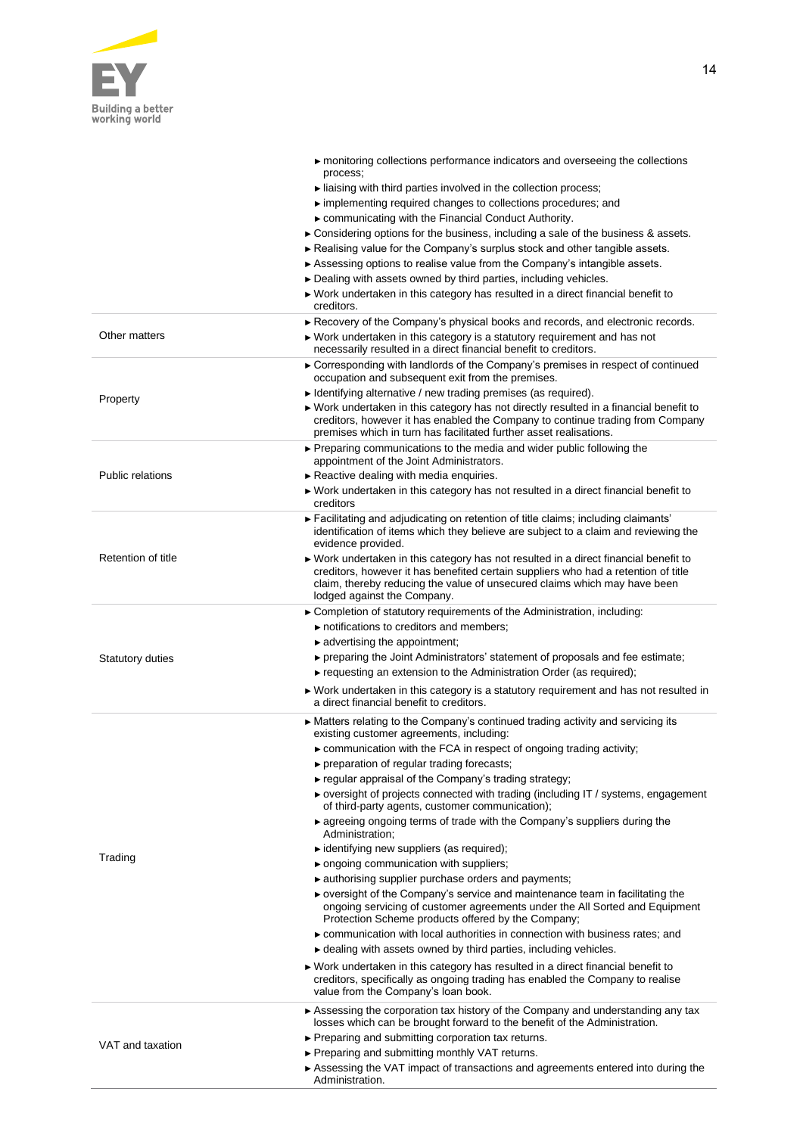

| process;<br>liaising with third parties involved in the collection process;<br>implementing required changes to collections procedures; and<br>► communicating with the Financial Conduct Authority.<br>$\triangleright$ Considering options for the business, including a sale of the business & assets.<br>Realising value for the Company's surplus stock and other tangible assets.<br>► Assessing options to realise value from the Company's intangible assets.<br>Dealing with assets owned by third parties, including vehicles.<br>► Work undertaken in this category has resulted in a direct financial benefit to<br>creditors.<br>► Recovery of the Company's physical books and records, and electronic records.<br>Other matters<br>► Work undertaken in this category is a statutory requirement and has not<br>necessarily resulted in a direct financial benefit to creditors.<br>► Corresponding with landlords of the Company's premises in respect of continued<br>occupation and subsequent exit from the premises.<br>Identifying alternative / new trading premises (as required).<br>Property<br>▶ Work undertaken in this category has not directly resulted in a financial benefit to<br>creditors, however it has enabled the Company to continue trading from Company<br>premises which in turn has facilitated further asset realisations.<br>▶ Preparing communications to the media and wider public following the<br>appointment of the Joint Administrators.<br>Public relations<br>Reactive dealing with media enquiries.<br>$\triangleright$ Work undertaken in this category has not resulted in a direct financial benefit to<br>creditors<br>$\blacktriangleright$ Facilitating and adjudicating on retention of title claims; including claimants'<br>identification of items which they believe are subject to a claim and reviewing the<br>evidence provided.<br>Retention of title<br>▶ Work undertaken in this category has not resulted in a direct financial benefit to<br>creditors, however it has benefited certain suppliers who had a retention of title<br>claim, thereby reducing the value of unsecured claims which may have been<br>lodged against the Company.<br>$\triangleright$ Completion of statutory requirements of the Administration, including:<br>notifications to creditors and members;<br>$\blacktriangleright$ advertising the appointment;<br>► preparing the Joint Administrators' statement of proposals and fee estimate;<br><b>Statutory duties</b><br>$\triangleright$ requesting an extension to the Administration Order (as required);<br>► Work undertaken in this category is a statutory requirement and has not resulted in<br>a direct financial benefit to creditors.<br>► Matters relating to the Company's continued trading activity and servicing its<br>existing customer agreements, including:<br>► communication with the FCA in respect of ongoing trading activity;<br>► preparation of regular trading forecasts;<br>$\triangleright$ regular appraisal of the Company's trading strategy;<br>► oversight of projects connected with trading (including IT / systems, engagement<br>of third-party agents, customer communication);<br>$\triangleright$ agreeing ongoing terms of trade with the Company's suppliers during the<br>Administration;<br>• identifying new suppliers (as required);<br>Trading<br>► ongoing communication with suppliers;<br>• authorising supplier purchase orders and payments;<br>▶ oversight of the Company's service and maintenance team in facilitating the<br>ongoing servicing of customer agreements under the All Sorted and Equipment<br>Protection Scheme products offered by the Company;<br>► communication with local authorities in connection with business rates; and<br>$\triangleright$ dealing with assets owned by third parties, including vehicles.<br>► Work undertaken in this category has resulted in a direct financial benefit to<br>creditors, specifically as ongoing trading has enabled the Company to realise<br>value from the Company's loan book.<br>► Assessing the corporation tax history of the Company and understanding any tax<br>losses which can be brought forward to the benefit of the Administration.<br>► Preparing and submitting corporation tax returns.<br>VAT and taxation<br>► Preparing and submitting monthly VAT returns.<br>► Assessing the VAT impact of transactions and agreements entered into during the<br>Administration. |  | monitoring collections performance indicators and overseeing the collections |
|-------------------------------------------------------------------------------------------------------------------------------------------------------------------------------------------------------------------------------------------------------------------------------------------------------------------------------------------------------------------------------------------------------------------------------------------------------------------------------------------------------------------------------------------------------------------------------------------------------------------------------------------------------------------------------------------------------------------------------------------------------------------------------------------------------------------------------------------------------------------------------------------------------------------------------------------------------------------------------------------------------------------------------------------------------------------------------------------------------------------------------------------------------------------------------------------------------------------------------------------------------------------------------------------------------------------------------------------------------------------------------------------------------------------------------------------------------------------------------------------------------------------------------------------------------------------------------------------------------------------------------------------------------------------------------------------------------------------------------------------------------------------------------------------------------------------------------------------------------------------------------------------------------------------------------------------------------------------------------------------------------------------------------------------------------------------------------------------------------------------------------------------------------------------------------------------------------------------------------------------------------------------------------------------------------------------------------------------------------------------------------------------------------------------------------------------------------------------------------------------------------------------------------------------------------------------------------------------------------------------------------------------------------------------------------------------------------------------------------------------------------------------------------------------------------------------------------------------------------------------------------------------------------------------------------------------------------------------------------------------------------------------------------------------------------------------------------------------------------------------------------------------------------------------------------------------------------------------------------------------------------------------------------------------------------------------------------------------------------------------------------------------------------------------------------------------------------------------------------------------------------------------------------------------------------------------------------------------------------------------------------------------------------------------------------------------------------------------------------------------------------------------------------------------------------------------------------------------------------------------------------------------------------------------------------------------------------------------------------------------------------------------------------------------------------------------------------------------------------------------------------------------------------------------------------------------------------------------------------------------------------------------------------------------------------------------------------------------------------------------------------------------------------------------------------------------------------------------------------------------------------------------------------|--|------------------------------------------------------------------------------|
|                                                                                                                                                                                                                                                                                                                                                                                                                                                                                                                                                                                                                                                                                                                                                                                                                                                                                                                                                                                                                                                                                                                                                                                                                                                                                                                                                                                                                                                                                                                                                                                                                                                                                                                                                                                                                                                                                                                                                                                                                                                                                                                                                                                                                                                                                                                                                                                                                                                                                                                                                                                                                                                                                                                                                                                                                                                                                                                                                                                                                                                                                                                                                                                                                                                                                                                                                                                                                                                                                                                                                                                                                                                                                                                                                                                                                                                                                                                                                                                                                                                                                                                                                                                                                                                                                                                                                                                                                                                                                                                               |  |                                                                              |
|                                                                                                                                                                                                                                                                                                                                                                                                                                                                                                                                                                                                                                                                                                                                                                                                                                                                                                                                                                                                                                                                                                                                                                                                                                                                                                                                                                                                                                                                                                                                                                                                                                                                                                                                                                                                                                                                                                                                                                                                                                                                                                                                                                                                                                                                                                                                                                                                                                                                                                                                                                                                                                                                                                                                                                                                                                                                                                                                                                                                                                                                                                                                                                                                                                                                                                                                                                                                                                                                                                                                                                                                                                                                                                                                                                                                                                                                                                                                                                                                                                                                                                                                                                                                                                                                                                                                                                                                                                                                                                                               |  |                                                                              |
|                                                                                                                                                                                                                                                                                                                                                                                                                                                                                                                                                                                                                                                                                                                                                                                                                                                                                                                                                                                                                                                                                                                                                                                                                                                                                                                                                                                                                                                                                                                                                                                                                                                                                                                                                                                                                                                                                                                                                                                                                                                                                                                                                                                                                                                                                                                                                                                                                                                                                                                                                                                                                                                                                                                                                                                                                                                                                                                                                                                                                                                                                                                                                                                                                                                                                                                                                                                                                                                                                                                                                                                                                                                                                                                                                                                                                                                                                                                                                                                                                                                                                                                                                                                                                                                                                                                                                                                                                                                                                                                               |  |                                                                              |
|                                                                                                                                                                                                                                                                                                                                                                                                                                                                                                                                                                                                                                                                                                                                                                                                                                                                                                                                                                                                                                                                                                                                                                                                                                                                                                                                                                                                                                                                                                                                                                                                                                                                                                                                                                                                                                                                                                                                                                                                                                                                                                                                                                                                                                                                                                                                                                                                                                                                                                                                                                                                                                                                                                                                                                                                                                                                                                                                                                                                                                                                                                                                                                                                                                                                                                                                                                                                                                                                                                                                                                                                                                                                                                                                                                                                                                                                                                                                                                                                                                                                                                                                                                                                                                                                                                                                                                                                                                                                                                                               |  |                                                                              |
|                                                                                                                                                                                                                                                                                                                                                                                                                                                                                                                                                                                                                                                                                                                                                                                                                                                                                                                                                                                                                                                                                                                                                                                                                                                                                                                                                                                                                                                                                                                                                                                                                                                                                                                                                                                                                                                                                                                                                                                                                                                                                                                                                                                                                                                                                                                                                                                                                                                                                                                                                                                                                                                                                                                                                                                                                                                                                                                                                                                                                                                                                                                                                                                                                                                                                                                                                                                                                                                                                                                                                                                                                                                                                                                                                                                                                                                                                                                                                                                                                                                                                                                                                                                                                                                                                                                                                                                                                                                                                                                               |  |                                                                              |
|                                                                                                                                                                                                                                                                                                                                                                                                                                                                                                                                                                                                                                                                                                                                                                                                                                                                                                                                                                                                                                                                                                                                                                                                                                                                                                                                                                                                                                                                                                                                                                                                                                                                                                                                                                                                                                                                                                                                                                                                                                                                                                                                                                                                                                                                                                                                                                                                                                                                                                                                                                                                                                                                                                                                                                                                                                                                                                                                                                                                                                                                                                                                                                                                                                                                                                                                                                                                                                                                                                                                                                                                                                                                                                                                                                                                                                                                                                                                                                                                                                                                                                                                                                                                                                                                                                                                                                                                                                                                                                                               |  |                                                                              |
|                                                                                                                                                                                                                                                                                                                                                                                                                                                                                                                                                                                                                                                                                                                                                                                                                                                                                                                                                                                                                                                                                                                                                                                                                                                                                                                                                                                                                                                                                                                                                                                                                                                                                                                                                                                                                                                                                                                                                                                                                                                                                                                                                                                                                                                                                                                                                                                                                                                                                                                                                                                                                                                                                                                                                                                                                                                                                                                                                                                                                                                                                                                                                                                                                                                                                                                                                                                                                                                                                                                                                                                                                                                                                                                                                                                                                                                                                                                                                                                                                                                                                                                                                                                                                                                                                                                                                                                                                                                                                                                               |  |                                                                              |
|                                                                                                                                                                                                                                                                                                                                                                                                                                                                                                                                                                                                                                                                                                                                                                                                                                                                                                                                                                                                                                                                                                                                                                                                                                                                                                                                                                                                                                                                                                                                                                                                                                                                                                                                                                                                                                                                                                                                                                                                                                                                                                                                                                                                                                                                                                                                                                                                                                                                                                                                                                                                                                                                                                                                                                                                                                                                                                                                                                                                                                                                                                                                                                                                                                                                                                                                                                                                                                                                                                                                                                                                                                                                                                                                                                                                                                                                                                                                                                                                                                                                                                                                                                                                                                                                                                                                                                                                                                                                                                                               |  |                                                                              |
|                                                                                                                                                                                                                                                                                                                                                                                                                                                                                                                                                                                                                                                                                                                                                                                                                                                                                                                                                                                                                                                                                                                                                                                                                                                                                                                                                                                                                                                                                                                                                                                                                                                                                                                                                                                                                                                                                                                                                                                                                                                                                                                                                                                                                                                                                                                                                                                                                                                                                                                                                                                                                                                                                                                                                                                                                                                                                                                                                                                                                                                                                                                                                                                                                                                                                                                                                                                                                                                                                                                                                                                                                                                                                                                                                                                                                                                                                                                                                                                                                                                                                                                                                                                                                                                                                                                                                                                                                                                                                                                               |  |                                                                              |
|                                                                                                                                                                                                                                                                                                                                                                                                                                                                                                                                                                                                                                                                                                                                                                                                                                                                                                                                                                                                                                                                                                                                                                                                                                                                                                                                                                                                                                                                                                                                                                                                                                                                                                                                                                                                                                                                                                                                                                                                                                                                                                                                                                                                                                                                                                                                                                                                                                                                                                                                                                                                                                                                                                                                                                                                                                                                                                                                                                                                                                                                                                                                                                                                                                                                                                                                                                                                                                                                                                                                                                                                                                                                                                                                                                                                                                                                                                                                                                                                                                                                                                                                                                                                                                                                                                                                                                                                                                                                                                                               |  |                                                                              |
|                                                                                                                                                                                                                                                                                                                                                                                                                                                                                                                                                                                                                                                                                                                                                                                                                                                                                                                                                                                                                                                                                                                                                                                                                                                                                                                                                                                                                                                                                                                                                                                                                                                                                                                                                                                                                                                                                                                                                                                                                                                                                                                                                                                                                                                                                                                                                                                                                                                                                                                                                                                                                                                                                                                                                                                                                                                                                                                                                                                                                                                                                                                                                                                                                                                                                                                                                                                                                                                                                                                                                                                                                                                                                                                                                                                                                                                                                                                                                                                                                                                                                                                                                                                                                                                                                                                                                                                                                                                                                                                               |  |                                                                              |
|                                                                                                                                                                                                                                                                                                                                                                                                                                                                                                                                                                                                                                                                                                                                                                                                                                                                                                                                                                                                                                                                                                                                                                                                                                                                                                                                                                                                                                                                                                                                                                                                                                                                                                                                                                                                                                                                                                                                                                                                                                                                                                                                                                                                                                                                                                                                                                                                                                                                                                                                                                                                                                                                                                                                                                                                                                                                                                                                                                                                                                                                                                                                                                                                                                                                                                                                                                                                                                                                                                                                                                                                                                                                                                                                                                                                                                                                                                                                                                                                                                                                                                                                                                                                                                                                                                                                                                                                                                                                                                                               |  |                                                                              |
|                                                                                                                                                                                                                                                                                                                                                                                                                                                                                                                                                                                                                                                                                                                                                                                                                                                                                                                                                                                                                                                                                                                                                                                                                                                                                                                                                                                                                                                                                                                                                                                                                                                                                                                                                                                                                                                                                                                                                                                                                                                                                                                                                                                                                                                                                                                                                                                                                                                                                                                                                                                                                                                                                                                                                                                                                                                                                                                                                                                                                                                                                                                                                                                                                                                                                                                                                                                                                                                                                                                                                                                                                                                                                                                                                                                                                                                                                                                                                                                                                                                                                                                                                                                                                                                                                                                                                                                                                                                                                                                               |  |                                                                              |
|                                                                                                                                                                                                                                                                                                                                                                                                                                                                                                                                                                                                                                                                                                                                                                                                                                                                                                                                                                                                                                                                                                                                                                                                                                                                                                                                                                                                                                                                                                                                                                                                                                                                                                                                                                                                                                                                                                                                                                                                                                                                                                                                                                                                                                                                                                                                                                                                                                                                                                                                                                                                                                                                                                                                                                                                                                                                                                                                                                                                                                                                                                                                                                                                                                                                                                                                                                                                                                                                                                                                                                                                                                                                                                                                                                                                                                                                                                                                                                                                                                                                                                                                                                                                                                                                                                                                                                                                                                                                                                                               |  |                                                                              |
|                                                                                                                                                                                                                                                                                                                                                                                                                                                                                                                                                                                                                                                                                                                                                                                                                                                                                                                                                                                                                                                                                                                                                                                                                                                                                                                                                                                                                                                                                                                                                                                                                                                                                                                                                                                                                                                                                                                                                                                                                                                                                                                                                                                                                                                                                                                                                                                                                                                                                                                                                                                                                                                                                                                                                                                                                                                                                                                                                                                                                                                                                                                                                                                                                                                                                                                                                                                                                                                                                                                                                                                                                                                                                                                                                                                                                                                                                                                                                                                                                                                                                                                                                                                                                                                                                                                                                                                                                                                                                                                               |  |                                                                              |
|                                                                                                                                                                                                                                                                                                                                                                                                                                                                                                                                                                                                                                                                                                                                                                                                                                                                                                                                                                                                                                                                                                                                                                                                                                                                                                                                                                                                                                                                                                                                                                                                                                                                                                                                                                                                                                                                                                                                                                                                                                                                                                                                                                                                                                                                                                                                                                                                                                                                                                                                                                                                                                                                                                                                                                                                                                                                                                                                                                                                                                                                                                                                                                                                                                                                                                                                                                                                                                                                                                                                                                                                                                                                                                                                                                                                                                                                                                                                                                                                                                                                                                                                                                                                                                                                                                                                                                                                                                                                                                                               |  |                                                                              |
|                                                                                                                                                                                                                                                                                                                                                                                                                                                                                                                                                                                                                                                                                                                                                                                                                                                                                                                                                                                                                                                                                                                                                                                                                                                                                                                                                                                                                                                                                                                                                                                                                                                                                                                                                                                                                                                                                                                                                                                                                                                                                                                                                                                                                                                                                                                                                                                                                                                                                                                                                                                                                                                                                                                                                                                                                                                                                                                                                                                                                                                                                                                                                                                                                                                                                                                                                                                                                                                                                                                                                                                                                                                                                                                                                                                                                                                                                                                                                                                                                                                                                                                                                                                                                                                                                                                                                                                                                                                                                                                               |  |                                                                              |
|                                                                                                                                                                                                                                                                                                                                                                                                                                                                                                                                                                                                                                                                                                                                                                                                                                                                                                                                                                                                                                                                                                                                                                                                                                                                                                                                                                                                                                                                                                                                                                                                                                                                                                                                                                                                                                                                                                                                                                                                                                                                                                                                                                                                                                                                                                                                                                                                                                                                                                                                                                                                                                                                                                                                                                                                                                                                                                                                                                                                                                                                                                                                                                                                                                                                                                                                                                                                                                                                                                                                                                                                                                                                                                                                                                                                                                                                                                                                                                                                                                                                                                                                                                                                                                                                                                                                                                                                                                                                                                                               |  |                                                                              |
|                                                                                                                                                                                                                                                                                                                                                                                                                                                                                                                                                                                                                                                                                                                                                                                                                                                                                                                                                                                                                                                                                                                                                                                                                                                                                                                                                                                                                                                                                                                                                                                                                                                                                                                                                                                                                                                                                                                                                                                                                                                                                                                                                                                                                                                                                                                                                                                                                                                                                                                                                                                                                                                                                                                                                                                                                                                                                                                                                                                                                                                                                                                                                                                                                                                                                                                                                                                                                                                                                                                                                                                                                                                                                                                                                                                                                                                                                                                                                                                                                                                                                                                                                                                                                                                                                                                                                                                                                                                                                                                               |  |                                                                              |
|                                                                                                                                                                                                                                                                                                                                                                                                                                                                                                                                                                                                                                                                                                                                                                                                                                                                                                                                                                                                                                                                                                                                                                                                                                                                                                                                                                                                                                                                                                                                                                                                                                                                                                                                                                                                                                                                                                                                                                                                                                                                                                                                                                                                                                                                                                                                                                                                                                                                                                                                                                                                                                                                                                                                                                                                                                                                                                                                                                                                                                                                                                                                                                                                                                                                                                                                                                                                                                                                                                                                                                                                                                                                                                                                                                                                                                                                                                                                                                                                                                                                                                                                                                                                                                                                                                                                                                                                                                                                                                                               |  |                                                                              |
|                                                                                                                                                                                                                                                                                                                                                                                                                                                                                                                                                                                                                                                                                                                                                                                                                                                                                                                                                                                                                                                                                                                                                                                                                                                                                                                                                                                                                                                                                                                                                                                                                                                                                                                                                                                                                                                                                                                                                                                                                                                                                                                                                                                                                                                                                                                                                                                                                                                                                                                                                                                                                                                                                                                                                                                                                                                                                                                                                                                                                                                                                                                                                                                                                                                                                                                                                                                                                                                                                                                                                                                                                                                                                                                                                                                                                                                                                                                                                                                                                                                                                                                                                                                                                                                                                                                                                                                                                                                                                                                               |  |                                                                              |
|                                                                                                                                                                                                                                                                                                                                                                                                                                                                                                                                                                                                                                                                                                                                                                                                                                                                                                                                                                                                                                                                                                                                                                                                                                                                                                                                                                                                                                                                                                                                                                                                                                                                                                                                                                                                                                                                                                                                                                                                                                                                                                                                                                                                                                                                                                                                                                                                                                                                                                                                                                                                                                                                                                                                                                                                                                                                                                                                                                                                                                                                                                                                                                                                                                                                                                                                                                                                                                                                                                                                                                                                                                                                                                                                                                                                                                                                                                                                                                                                                                                                                                                                                                                                                                                                                                                                                                                                                                                                                                                               |  |                                                                              |
|                                                                                                                                                                                                                                                                                                                                                                                                                                                                                                                                                                                                                                                                                                                                                                                                                                                                                                                                                                                                                                                                                                                                                                                                                                                                                                                                                                                                                                                                                                                                                                                                                                                                                                                                                                                                                                                                                                                                                                                                                                                                                                                                                                                                                                                                                                                                                                                                                                                                                                                                                                                                                                                                                                                                                                                                                                                                                                                                                                                                                                                                                                                                                                                                                                                                                                                                                                                                                                                                                                                                                                                                                                                                                                                                                                                                                                                                                                                                                                                                                                                                                                                                                                                                                                                                                                                                                                                                                                                                                                                               |  |                                                                              |
|                                                                                                                                                                                                                                                                                                                                                                                                                                                                                                                                                                                                                                                                                                                                                                                                                                                                                                                                                                                                                                                                                                                                                                                                                                                                                                                                                                                                                                                                                                                                                                                                                                                                                                                                                                                                                                                                                                                                                                                                                                                                                                                                                                                                                                                                                                                                                                                                                                                                                                                                                                                                                                                                                                                                                                                                                                                                                                                                                                                                                                                                                                                                                                                                                                                                                                                                                                                                                                                                                                                                                                                                                                                                                                                                                                                                                                                                                                                                                                                                                                                                                                                                                                                                                                                                                                                                                                                                                                                                                                                               |  |                                                                              |
|                                                                                                                                                                                                                                                                                                                                                                                                                                                                                                                                                                                                                                                                                                                                                                                                                                                                                                                                                                                                                                                                                                                                                                                                                                                                                                                                                                                                                                                                                                                                                                                                                                                                                                                                                                                                                                                                                                                                                                                                                                                                                                                                                                                                                                                                                                                                                                                                                                                                                                                                                                                                                                                                                                                                                                                                                                                                                                                                                                                                                                                                                                                                                                                                                                                                                                                                                                                                                                                                                                                                                                                                                                                                                                                                                                                                                                                                                                                                                                                                                                                                                                                                                                                                                                                                                                                                                                                                                                                                                                                               |  |                                                                              |
|                                                                                                                                                                                                                                                                                                                                                                                                                                                                                                                                                                                                                                                                                                                                                                                                                                                                                                                                                                                                                                                                                                                                                                                                                                                                                                                                                                                                                                                                                                                                                                                                                                                                                                                                                                                                                                                                                                                                                                                                                                                                                                                                                                                                                                                                                                                                                                                                                                                                                                                                                                                                                                                                                                                                                                                                                                                                                                                                                                                                                                                                                                                                                                                                                                                                                                                                                                                                                                                                                                                                                                                                                                                                                                                                                                                                                                                                                                                                                                                                                                                                                                                                                                                                                                                                                                                                                                                                                                                                                                                               |  |                                                                              |
|                                                                                                                                                                                                                                                                                                                                                                                                                                                                                                                                                                                                                                                                                                                                                                                                                                                                                                                                                                                                                                                                                                                                                                                                                                                                                                                                                                                                                                                                                                                                                                                                                                                                                                                                                                                                                                                                                                                                                                                                                                                                                                                                                                                                                                                                                                                                                                                                                                                                                                                                                                                                                                                                                                                                                                                                                                                                                                                                                                                                                                                                                                                                                                                                                                                                                                                                                                                                                                                                                                                                                                                                                                                                                                                                                                                                                                                                                                                                                                                                                                                                                                                                                                                                                                                                                                                                                                                                                                                                                                                               |  |                                                                              |
|                                                                                                                                                                                                                                                                                                                                                                                                                                                                                                                                                                                                                                                                                                                                                                                                                                                                                                                                                                                                                                                                                                                                                                                                                                                                                                                                                                                                                                                                                                                                                                                                                                                                                                                                                                                                                                                                                                                                                                                                                                                                                                                                                                                                                                                                                                                                                                                                                                                                                                                                                                                                                                                                                                                                                                                                                                                                                                                                                                                                                                                                                                                                                                                                                                                                                                                                                                                                                                                                                                                                                                                                                                                                                                                                                                                                                                                                                                                                                                                                                                                                                                                                                                                                                                                                                                                                                                                                                                                                                                                               |  |                                                                              |
|                                                                                                                                                                                                                                                                                                                                                                                                                                                                                                                                                                                                                                                                                                                                                                                                                                                                                                                                                                                                                                                                                                                                                                                                                                                                                                                                                                                                                                                                                                                                                                                                                                                                                                                                                                                                                                                                                                                                                                                                                                                                                                                                                                                                                                                                                                                                                                                                                                                                                                                                                                                                                                                                                                                                                                                                                                                                                                                                                                                                                                                                                                                                                                                                                                                                                                                                                                                                                                                                                                                                                                                                                                                                                                                                                                                                                                                                                                                                                                                                                                                                                                                                                                                                                                                                                                                                                                                                                                                                                                                               |  |                                                                              |
|                                                                                                                                                                                                                                                                                                                                                                                                                                                                                                                                                                                                                                                                                                                                                                                                                                                                                                                                                                                                                                                                                                                                                                                                                                                                                                                                                                                                                                                                                                                                                                                                                                                                                                                                                                                                                                                                                                                                                                                                                                                                                                                                                                                                                                                                                                                                                                                                                                                                                                                                                                                                                                                                                                                                                                                                                                                                                                                                                                                                                                                                                                                                                                                                                                                                                                                                                                                                                                                                                                                                                                                                                                                                                                                                                                                                                                                                                                                                                                                                                                                                                                                                                                                                                                                                                                                                                                                                                                                                                                                               |  |                                                                              |
|                                                                                                                                                                                                                                                                                                                                                                                                                                                                                                                                                                                                                                                                                                                                                                                                                                                                                                                                                                                                                                                                                                                                                                                                                                                                                                                                                                                                                                                                                                                                                                                                                                                                                                                                                                                                                                                                                                                                                                                                                                                                                                                                                                                                                                                                                                                                                                                                                                                                                                                                                                                                                                                                                                                                                                                                                                                                                                                                                                                                                                                                                                                                                                                                                                                                                                                                                                                                                                                                                                                                                                                                                                                                                                                                                                                                                                                                                                                                                                                                                                                                                                                                                                                                                                                                                                                                                                                                                                                                                                                               |  |                                                                              |
|                                                                                                                                                                                                                                                                                                                                                                                                                                                                                                                                                                                                                                                                                                                                                                                                                                                                                                                                                                                                                                                                                                                                                                                                                                                                                                                                                                                                                                                                                                                                                                                                                                                                                                                                                                                                                                                                                                                                                                                                                                                                                                                                                                                                                                                                                                                                                                                                                                                                                                                                                                                                                                                                                                                                                                                                                                                                                                                                                                                                                                                                                                                                                                                                                                                                                                                                                                                                                                                                                                                                                                                                                                                                                                                                                                                                                                                                                                                                                                                                                                                                                                                                                                                                                                                                                                                                                                                                                                                                                                                               |  |                                                                              |
|                                                                                                                                                                                                                                                                                                                                                                                                                                                                                                                                                                                                                                                                                                                                                                                                                                                                                                                                                                                                                                                                                                                                                                                                                                                                                                                                                                                                                                                                                                                                                                                                                                                                                                                                                                                                                                                                                                                                                                                                                                                                                                                                                                                                                                                                                                                                                                                                                                                                                                                                                                                                                                                                                                                                                                                                                                                                                                                                                                                                                                                                                                                                                                                                                                                                                                                                                                                                                                                                                                                                                                                                                                                                                                                                                                                                                                                                                                                                                                                                                                                                                                                                                                                                                                                                                                                                                                                                                                                                                                                               |  |                                                                              |
|                                                                                                                                                                                                                                                                                                                                                                                                                                                                                                                                                                                                                                                                                                                                                                                                                                                                                                                                                                                                                                                                                                                                                                                                                                                                                                                                                                                                                                                                                                                                                                                                                                                                                                                                                                                                                                                                                                                                                                                                                                                                                                                                                                                                                                                                                                                                                                                                                                                                                                                                                                                                                                                                                                                                                                                                                                                                                                                                                                                                                                                                                                                                                                                                                                                                                                                                                                                                                                                                                                                                                                                                                                                                                                                                                                                                                                                                                                                                                                                                                                                                                                                                                                                                                                                                                                                                                                                                                                                                                                                               |  |                                                                              |
|                                                                                                                                                                                                                                                                                                                                                                                                                                                                                                                                                                                                                                                                                                                                                                                                                                                                                                                                                                                                                                                                                                                                                                                                                                                                                                                                                                                                                                                                                                                                                                                                                                                                                                                                                                                                                                                                                                                                                                                                                                                                                                                                                                                                                                                                                                                                                                                                                                                                                                                                                                                                                                                                                                                                                                                                                                                                                                                                                                                                                                                                                                                                                                                                                                                                                                                                                                                                                                                                                                                                                                                                                                                                                                                                                                                                                                                                                                                                                                                                                                                                                                                                                                                                                                                                                                                                                                                                                                                                                                                               |  |                                                                              |
|                                                                                                                                                                                                                                                                                                                                                                                                                                                                                                                                                                                                                                                                                                                                                                                                                                                                                                                                                                                                                                                                                                                                                                                                                                                                                                                                                                                                                                                                                                                                                                                                                                                                                                                                                                                                                                                                                                                                                                                                                                                                                                                                                                                                                                                                                                                                                                                                                                                                                                                                                                                                                                                                                                                                                                                                                                                                                                                                                                                                                                                                                                                                                                                                                                                                                                                                                                                                                                                                                                                                                                                                                                                                                                                                                                                                                                                                                                                                                                                                                                                                                                                                                                                                                                                                                                                                                                                                                                                                                                                               |  |                                                                              |
|                                                                                                                                                                                                                                                                                                                                                                                                                                                                                                                                                                                                                                                                                                                                                                                                                                                                                                                                                                                                                                                                                                                                                                                                                                                                                                                                                                                                                                                                                                                                                                                                                                                                                                                                                                                                                                                                                                                                                                                                                                                                                                                                                                                                                                                                                                                                                                                                                                                                                                                                                                                                                                                                                                                                                                                                                                                                                                                                                                                                                                                                                                                                                                                                                                                                                                                                                                                                                                                                                                                                                                                                                                                                                                                                                                                                                                                                                                                                                                                                                                                                                                                                                                                                                                                                                                                                                                                                                                                                                                                               |  |                                                                              |
|                                                                                                                                                                                                                                                                                                                                                                                                                                                                                                                                                                                                                                                                                                                                                                                                                                                                                                                                                                                                                                                                                                                                                                                                                                                                                                                                                                                                                                                                                                                                                                                                                                                                                                                                                                                                                                                                                                                                                                                                                                                                                                                                                                                                                                                                                                                                                                                                                                                                                                                                                                                                                                                                                                                                                                                                                                                                                                                                                                                                                                                                                                                                                                                                                                                                                                                                                                                                                                                                                                                                                                                                                                                                                                                                                                                                                                                                                                                                                                                                                                                                                                                                                                                                                                                                                                                                                                                                                                                                                                                               |  |                                                                              |
|                                                                                                                                                                                                                                                                                                                                                                                                                                                                                                                                                                                                                                                                                                                                                                                                                                                                                                                                                                                                                                                                                                                                                                                                                                                                                                                                                                                                                                                                                                                                                                                                                                                                                                                                                                                                                                                                                                                                                                                                                                                                                                                                                                                                                                                                                                                                                                                                                                                                                                                                                                                                                                                                                                                                                                                                                                                                                                                                                                                                                                                                                                                                                                                                                                                                                                                                                                                                                                                                                                                                                                                                                                                                                                                                                                                                                                                                                                                                                                                                                                                                                                                                                                                                                                                                                                                                                                                                                                                                                                                               |  |                                                                              |
|                                                                                                                                                                                                                                                                                                                                                                                                                                                                                                                                                                                                                                                                                                                                                                                                                                                                                                                                                                                                                                                                                                                                                                                                                                                                                                                                                                                                                                                                                                                                                                                                                                                                                                                                                                                                                                                                                                                                                                                                                                                                                                                                                                                                                                                                                                                                                                                                                                                                                                                                                                                                                                                                                                                                                                                                                                                                                                                                                                                                                                                                                                                                                                                                                                                                                                                                                                                                                                                                                                                                                                                                                                                                                                                                                                                                                                                                                                                                                                                                                                                                                                                                                                                                                                                                                                                                                                                                                                                                                                                               |  |                                                                              |
|                                                                                                                                                                                                                                                                                                                                                                                                                                                                                                                                                                                                                                                                                                                                                                                                                                                                                                                                                                                                                                                                                                                                                                                                                                                                                                                                                                                                                                                                                                                                                                                                                                                                                                                                                                                                                                                                                                                                                                                                                                                                                                                                                                                                                                                                                                                                                                                                                                                                                                                                                                                                                                                                                                                                                                                                                                                                                                                                                                                                                                                                                                                                                                                                                                                                                                                                                                                                                                                                                                                                                                                                                                                                                                                                                                                                                                                                                                                                                                                                                                                                                                                                                                                                                                                                                                                                                                                                                                                                                                                               |  |                                                                              |
|                                                                                                                                                                                                                                                                                                                                                                                                                                                                                                                                                                                                                                                                                                                                                                                                                                                                                                                                                                                                                                                                                                                                                                                                                                                                                                                                                                                                                                                                                                                                                                                                                                                                                                                                                                                                                                                                                                                                                                                                                                                                                                                                                                                                                                                                                                                                                                                                                                                                                                                                                                                                                                                                                                                                                                                                                                                                                                                                                                                                                                                                                                                                                                                                                                                                                                                                                                                                                                                                                                                                                                                                                                                                                                                                                                                                                                                                                                                                                                                                                                                                                                                                                                                                                                                                                                                                                                                                                                                                                                                               |  |                                                                              |
|                                                                                                                                                                                                                                                                                                                                                                                                                                                                                                                                                                                                                                                                                                                                                                                                                                                                                                                                                                                                                                                                                                                                                                                                                                                                                                                                                                                                                                                                                                                                                                                                                                                                                                                                                                                                                                                                                                                                                                                                                                                                                                                                                                                                                                                                                                                                                                                                                                                                                                                                                                                                                                                                                                                                                                                                                                                                                                                                                                                                                                                                                                                                                                                                                                                                                                                                                                                                                                                                                                                                                                                                                                                                                                                                                                                                                                                                                                                                                                                                                                                                                                                                                                                                                                                                                                                                                                                                                                                                                                                               |  |                                                                              |
|                                                                                                                                                                                                                                                                                                                                                                                                                                                                                                                                                                                                                                                                                                                                                                                                                                                                                                                                                                                                                                                                                                                                                                                                                                                                                                                                                                                                                                                                                                                                                                                                                                                                                                                                                                                                                                                                                                                                                                                                                                                                                                                                                                                                                                                                                                                                                                                                                                                                                                                                                                                                                                                                                                                                                                                                                                                                                                                                                                                                                                                                                                                                                                                                                                                                                                                                                                                                                                                                                                                                                                                                                                                                                                                                                                                                                                                                                                                                                                                                                                                                                                                                                                                                                                                                                                                                                                                                                                                                                                                               |  |                                                                              |
|                                                                                                                                                                                                                                                                                                                                                                                                                                                                                                                                                                                                                                                                                                                                                                                                                                                                                                                                                                                                                                                                                                                                                                                                                                                                                                                                                                                                                                                                                                                                                                                                                                                                                                                                                                                                                                                                                                                                                                                                                                                                                                                                                                                                                                                                                                                                                                                                                                                                                                                                                                                                                                                                                                                                                                                                                                                                                                                                                                                                                                                                                                                                                                                                                                                                                                                                                                                                                                                                                                                                                                                                                                                                                                                                                                                                                                                                                                                                                                                                                                                                                                                                                                                                                                                                                                                                                                                                                                                                                                                               |  |                                                                              |
|                                                                                                                                                                                                                                                                                                                                                                                                                                                                                                                                                                                                                                                                                                                                                                                                                                                                                                                                                                                                                                                                                                                                                                                                                                                                                                                                                                                                                                                                                                                                                                                                                                                                                                                                                                                                                                                                                                                                                                                                                                                                                                                                                                                                                                                                                                                                                                                                                                                                                                                                                                                                                                                                                                                                                                                                                                                                                                                                                                                                                                                                                                                                                                                                                                                                                                                                                                                                                                                                                                                                                                                                                                                                                                                                                                                                                                                                                                                                                                                                                                                                                                                                                                                                                                                                                                                                                                                                                                                                                                                               |  |                                                                              |
|                                                                                                                                                                                                                                                                                                                                                                                                                                                                                                                                                                                                                                                                                                                                                                                                                                                                                                                                                                                                                                                                                                                                                                                                                                                                                                                                                                                                                                                                                                                                                                                                                                                                                                                                                                                                                                                                                                                                                                                                                                                                                                                                                                                                                                                                                                                                                                                                                                                                                                                                                                                                                                                                                                                                                                                                                                                                                                                                                                                                                                                                                                                                                                                                                                                                                                                                                                                                                                                                                                                                                                                                                                                                                                                                                                                                                                                                                                                                                                                                                                                                                                                                                                                                                                                                                                                                                                                                                                                                                                                               |  |                                                                              |
|                                                                                                                                                                                                                                                                                                                                                                                                                                                                                                                                                                                                                                                                                                                                                                                                                                                                                                                                                                                                                                                                                                                                                                                                                                                                                                                                                                                                                                                                                                                                                                                                                                                                                                                                                                                                                                                                                                                                                                                                                                                                                                                                                                                                                                                                                                                                                                                                                                                                                                                                                                                                                                                                                                                                                                                                                                                                                                                                                                                                                                                                                                                                                                                                                                                                                                                                                                                                                                                                                                                                                                                                                                                                                                                                                                                                                                                                                                                                                                                                                                                                                                                                                                                                                                                                                                                                                                                                                                                                                                                               |  |                                                                              |
|                                                                                                                                                                                                                                                                                                                                                                                                                                                                                                                                                                                                                                                                                                                                                                                                                                                                                                                                                                                                                                                                                                                                                                                                                                                                                                                                                                                                                                                                                                                                                                                                                                                                                                                                                                                                                                                                                                                                                                                                                                                                                                                                                                                                                                                                                                                                                                                                                                                                                                                                                                                                                                                                                                                                                                                                                                                                                                                                                                                                                                                                                                                                                                                                                                                                                                                                                                                                                                                                                                                                                                                                                                                                                                                                                                                                                                                                                                                                                                                                                                                                                                                                                                                                                                                                                                                                                                                                                                                                                                                               |  |                                                                              |